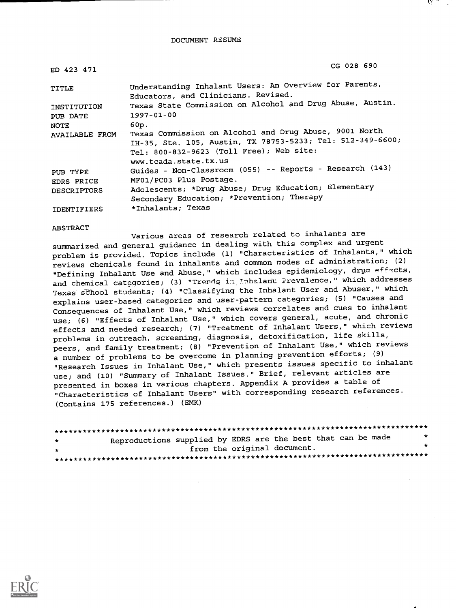DOCUMENT RESUME

| ED 423 471        | CG 028 690                                                                                                                                                       |
|-------------------|------------------------------------------------------------------------------------------------------------------------------------------------------------------|
| TITLE             | Understanding Inhalant Users: An Overview for Parents,<br>Educators, and Clinicians. Revised.                                                                    |
| INSTITUTION       | Texas State Commission on Alcohol and Drug Abuse, Austin.                                                                                                        |
| PUB DATE          | 1997-01-00                                                                                                                                                       |
| NOTE              | 60p.                                                                                                                                                             |
| AVAILABLE FROM    | Texas Commission on Alcohol and Drug Abuse, 9001 North<br>IH-35, Ste. 105, Austin, TX 78753-5233; Tel: 512-349-6600;<br>Tel: 800-832-9623 (Toll Free); Web site: |
|                   | www.tcada.state.tx.us                                                                                                                                            |
| PUB TYPE          | Guides - Non-Classroom (055) -- Reports - Research (143)                                                                                                         |
| <b>EDRS PRICE</b> | MF01/PC03 Plus Postage.                                                                                                                                          |
| DESCRIPTORS       | Adolescents; *Drug Abuse; Drug Education; Elementary                                                                                                             |
|                   | Secondary Education; *Prevention; Therapy                                                                                                                        |
| IDENTIFIERS       | *Inhalants; Texas                                                                                                                                                |

ABSTRACT

Various areas of research related to inhalants are summarized and general guidance in dealing with this complex and urgent problem is provided. Topics include (1) "Characteristics of Inhalants," which reviews chemicals found in inhalants and common modes of administration; (2) "Defining Inhalant Use and Abuse," which includes epidemiology, drua effects, and chemical categories; (3) "Trends in Inhalant Prevalence," which addresses Texas school students; (4) "Classifying the Inhalant User and Abuser," which explains user-based categories and user-pattern categories; (5) "Causes and Consequences of Inhalant Use," which reviews correlates and cues to inhalant use; (6) "Effects of Inhalant Use," which covers general, acute, and chronic effects and needed research; (7) "Treatment of Inhalant Users," which reviews problems in outreach, screening, diagnosis, detoxification, life skills, peers, and family treatment; (8) "Prevention of Inhalant Use," which reviews a number of problems to be overcome in planning prevention efforts; (9) "Research Issues in Inhalant Use," which presents issues specific to inhalant use; and (10) "Summary of Inhalant Issues." Brief, relevant articles are presented in boxes in various chapters. Appendix A provides a table of "Characteristics of Inhalant Users" with corresponding research references. (Contains 175 references.) (EMK)

| $\star$       | Reproductions supplied by EDRS are the best that can be made | *  |  |
|---------------|--------------------------------------------------------------|----|--|
| $\rightarrow$ | from the original document.                                  | ÷. |  |
|               |                                                              |    |  |

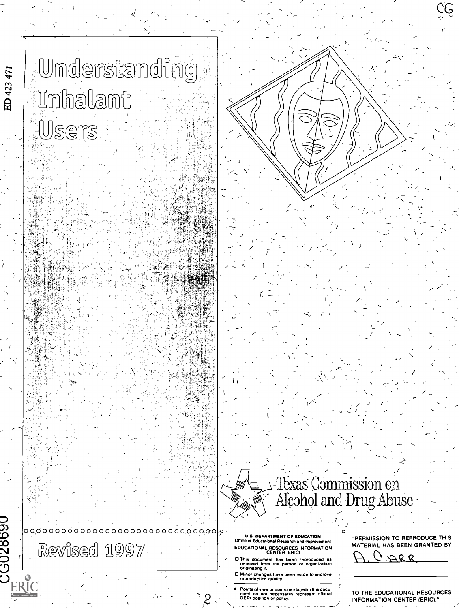# . Understanding 'Inhalant Users

dina.<br>Sila

 $\mathbb{R}^{n}$  ,  $\mathbb{R}^{n}$  ,  $\mathbb{R}^{n}$  ,  $\mathbb{R}^{n}$ 

 $\mathcal{N}_{\text{eff}}$ 凞  $1.7.7$ 

75

ED 423 471

, (  $\epsilon$  ), (  $\epsilon$ 

 $28690$ 

ERIC

| $\left  D \right\rangle$ $\left( \rho \right)$<br><sub>^</sub> ∨⁄⊼IR@@' | bi a | <b>U.S. DEPA</b><br>Office of Educat<br><b>EDUCATIONAL</b><br>docum:<br>committed for |
|-------------------------------------------------------------------------|------|---------------------------------------------------------------------------------------|

U.S. DEPARTMENT OF EDUCATION Office of Educational Research and Improve EDUCATIONAL RESOURCES INFORMATION CENTER (ERIC)

 $\mathbb{R}_{\Delta}$ 

0 This document has been reproduced as received from the person or organization originating it.

0 Minor changes have been made to improve reproduction quality.

Points of view or opinions stated in this docu-ment do not necessarily represent offimal TO THE EDUCATIONAL RESOURCES

"PERMISSION TO REPRODUCE THIS MATERIAL HAS BEEN GRANTED BY

 $\mu_{\rm c}$  (  $\mu_{\rm c}$ 

 $\cdot G$ 

 $\int_{P}$ 

-

 $\sqrt{2}$ 

 $\sim$  Texas Commission on  $\sim$   $\sim$ 

Alcohol and Drug Abuse  $\sim$ 

 $\epsilon$  (  $\epsilon$  ) is

CARR

INFORMATION CENTER (ERIC)."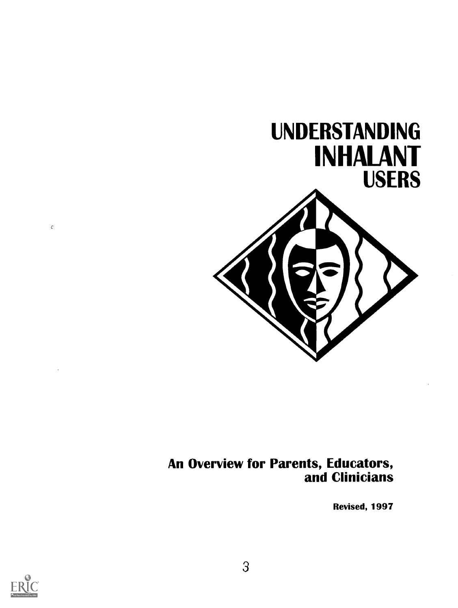

#### An Overview for Parents, Educators, and Clinicians

Revised, 1997



 $\bar{c}$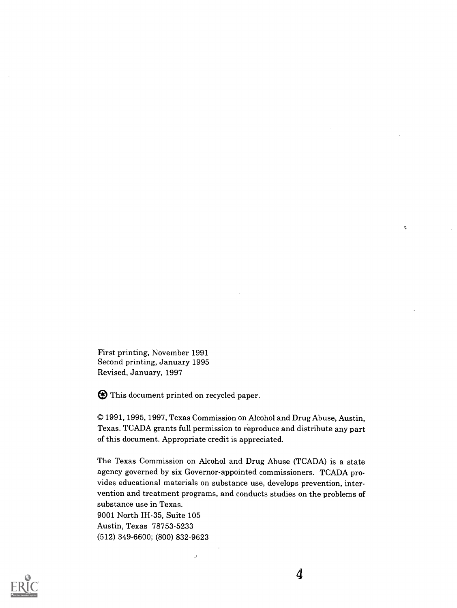First printing, November 1991 Second printing, January 1995 Revised, January, 1997

® This document printed on recycled paper.

J.

1991, 1995, 1997, Texas Commission on Alcohol and Drug Abuse, Austin, Texas. TCADA grants full permission to reproduce and distribute any part of this document. Appropriate credit is appreciated.

The Texas Commission on Alcohol and Drug Abuse (TCADA) is a state agency governed by six Governor-appointed commissioners. TCADA provides educational materials on substance use, develops prevention, intervention and treatment programs, and conducts studies on the problems of substance use in Texas.

9001 North IH-35, Suite 105 Austin, Texas 78753-5233 (512) 349-6600; (800) 832-9623



 $\mathfrak o$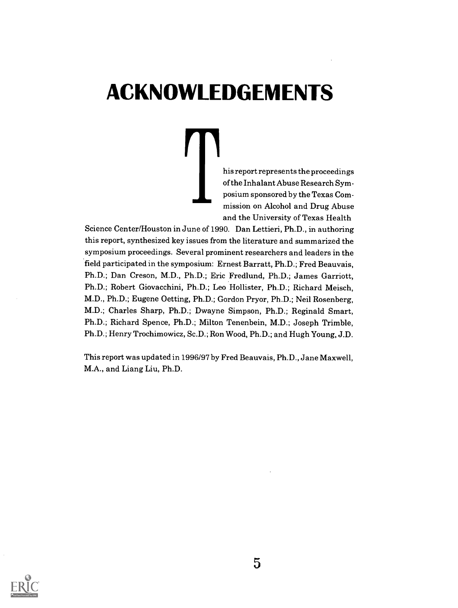## ACKNOWLEDGEMENTS

his report represents the proceedings of the Inhalant Abuse Research Symposium sponsored by the Texas Commission on Alcohol and Drug Abuse and the University of Texas Health

Science Center/Houston in June of 1990. Dan Lettieri, Ph.D., in authoring this report, synthesized key issues from the literature and summarized the symposium proceedings. Several prominent researchers and leaders in the field participated in the symposium: Ernest Barratt, Ph.D.; Fred Beauvais, Ph.D.; Dan Creson, M.D., Ph.D.; Eric Fredlund, Ph.D.; James Garriott, Ph.D.; Robert Giovacchini, Ph.D.; Leo Hollister, Ph.D.; Richard Meisch, M.D., Ph.D.; Eugene Oetting, Ph.D.; Gordon Pryor, Ph.D.; Neil Rosenberg, M.D.; Charles Sharp, Ph.D.; Dwayne Simpson, Ph.D.; Reginald Smart, Ph.D.; Richard Spence, Ph.D.; Milton Tenenbein, M.D.; Joseph Trimble, Ph.D.; Henry Trochimowicz, Sc.D.; Ron Wood, Ph.D.; and Hugh Young, J.D.

This report was updated in 1996/97 by Fred Beauvais, Ph.D., Jane Maxwell, M.A., and Liang Liu, Ph.D.

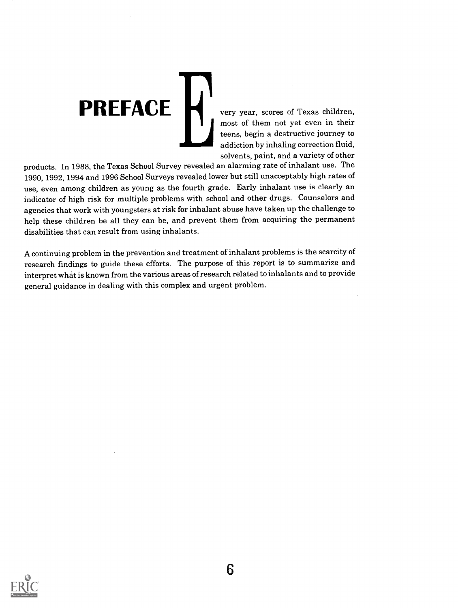#### **PREFACE** very year, scores of Texas children. most of them not yet even in their teens, begin a destructive journey to addiction by inhaling correction fluid, solvents, paint, and a variety of other

products. In 1988, the Texas School Survey revealed an alarming rate of inhalant use. The 1990, 1992, 1994 and 1996 School Surveys revealed lower but still unacceptably high rates of use, even among children as young as the fourth grade. Early inhalant use is clearly an indicator of high risk for multiple problems with school and other drugs. Counselors and agencies that work with youngsters at risk for inhalant abuse have taken up the challenge to help these children be all they can be, and prevent them from acquiring the permanent disabilities that can result from using inhalants.

A continuing problem in the prevention and treatment of inhalant problems is the scarcity of research findings to guide these efforts. The purpose of this report is to summarize and interpret what is known from the various areas of research related to inhalants and to provide general guidance in dealing with this complex and urgent problem.

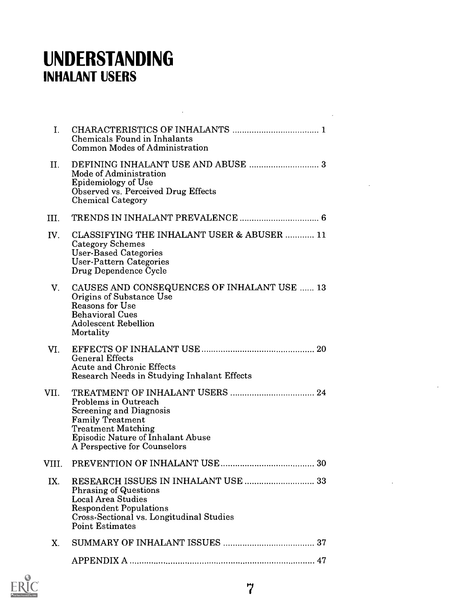### UNDERSTANDING INHALANT USERS

| I.    | Chemicals Found in Inhalants<br>Common Modes of Administration                                                                                                                             |     |
|-------|--------------------------------------------------------------------------------------------------------------------------------------------------------------------------------------------|-----|
| П.    | Mode of Administration<br><b>Epidemiology of Use</b><br>Observed vs. Perceived Drug Effects<br><b>Chemical Category</b>                                                                    |     |
| III.  |                                                                                                                                                                                            |     |
| IV.   | CLASSIFYING THE INHALANT USER & ABUSER  11<br><b>Category Schemes</b><br><b>User-Based Categories</b><br>User-Pattern Categories<br>Drug Dependence Cycle                                  |     |
| V.    | CAUSES AND CONSEQUENCES OF INHALANT USE  13<br>Origins of Substance Use<br>Reasons for Use<br><b>Behavioral Cues</b><br><b>Adolescent Rebellion</b><br>Mortality                           |     |
| VI.   | <b>General Effects</b><br><b>Acute and Chronic Effects</b><br>Research Needs in Studying Inhalant Effects                                                                                  |     |
| VII.  | Problems in Outreach<br><b>Screening and Diagnosis</b><br><b>Family Treatment</b><br><b>Treatment Matching</b><br><b>Episodic Nature of Inhalant Abuse</b><br>A Perspective for Counselors |     |
| VIII. |                                                                                                                                                                                            | -30 |
| IX.   | <b>Phrasing of Questions</b><br>Local Area Studies<br><b>Respondent Populations</b><br>Cross-Sectional vs. Longitudinal Studies<br><b>Point Estimates</b>                                  |     |
| X.    |                                                                                                                                                                                            |     |
|       |                                                                                                                                                                                            |     |

 $\mathcal{L}^{\mathcal{L}}(\mathcal{L}^{\mathcal{L}})$  and  $\mathcal{L}^{\mathcal{L}}(\mathcal{L}^{\mathcal{L}})$  and  $\mathcal{L}^{\mathcal{L}}(\mathcal{L}^{\mathcal{L}})$ 

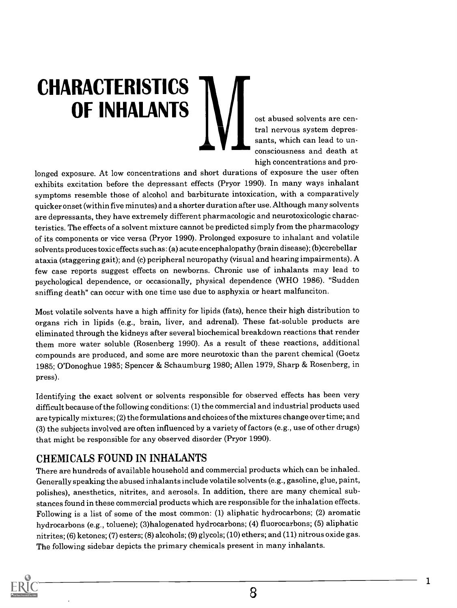# **CHARACTERISTICS** OF INHALANTS  $\|\blacksquare\|$  ost abused solvents are cen-

tral nervous system depressants, which can lead to unconsciousness and death at high concentrations and pro-

longed exposure. At low concentrations and short durations of exposure the user often exhibits excitation before the depressant effects (Pryor 1990). In many ways inhalant symptoms resemble those of alcohol and barbiturate intoxication, with a comparatively quicker onset (within five minutes) and a shorter duration after use. Although many solvents are depressants, they have extremely different pharmacologic and neurotoxicologic characteristics. The effects of a solvent mixture cannot be predicted simply from the pharmacology of its components or vice versa (Pryor 1990). Prolonged exposure to inhalant and volatile solvents produces toxic effects such as: (a) acute encephalopathy (brain disease); (b)cerebellar ataxia (staggering gait); and (c) peripheral neuropathy (visual and hearing impairments). A few case reports suggest effects on newborns. Chronic use of inhalants may lead to psychological dependence, or occasionally, physical dependence (WHO 1986). "Sudden sniffing death" can occur with one time use due to asphyxia or heart malfunciton.

Most volatile solvents have a high affinity for lipids (fats), hence their high distribution to organs rich in lipids (e.g., brain, liver, and adrenal). These fat-soluble products are eliminated through the kidneys after several biochemical breakdown reactions that render them more water soluble (Rosenberg 1990). As a result of these reactions, additional compounds are produced, and some are more neurotoxic than the parent chemical (Goetz 1985; O'Donoghue 1985; Spencer & Schaumburg 1980; Allen 1979, Sharp & Rosenberg, in press).

Identifying the exact solvent or solvents responsible for observed effects has been very difficult because of the following conditions: (1) the commercial and industrial products used are typically mixtures; (2) the formulations and choices of the mixtures change over time; and (3) the subjects involved are often influenced by a variety of factors (e.g., use of other drugs) that might be responsible for any observed disorder (Pryor 1990).

#### CHEMICALS FOUND IN INHALANTS

There are hundreds of available household and commercial products which can be inhaled. Generally speaking the abused inhalants include volatile solvents (e.g., gasoline, glue, paint, polishes), anesthetics, nitrites, and aerosols. In addition, there are many chemical substances found in these commercial products which are responsible for the inhalation effects. Following is a list of some of the most common: (1) aliphatic hydrocarbons; (2) aromatic hydrocarbons (e.g., toluene); (3)halogenated hydrocarbons; (4) fluorocarbons; (5) aliphatic nitrites; (6) ketones; (7) esters; (8) alcohols; (9) glycols; (10) ethers; and (11) nitrous oxide gas. The following sidebar depicts the primary chemicals present in many inhalants.



1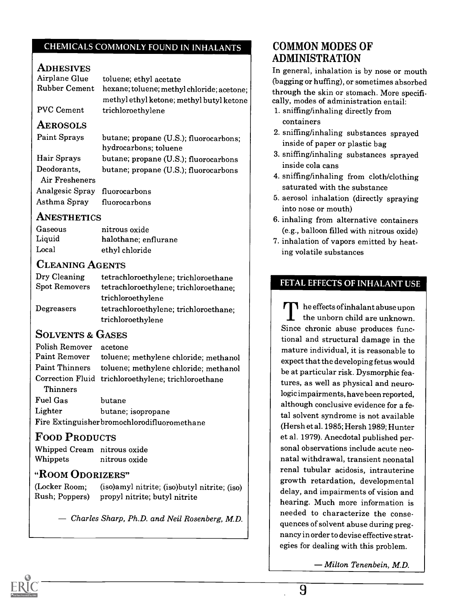#### CHEMICALS COMMONLY FOUND IN INHALANTS

#### **ADHESIVES**

Airplane Glue Rubber Cement toluene; ethyl acetate hexane; toluene; methyl chloride; acetone; methyl ethyl ketone; methyl butyl ketone

PVC Cement trichloroethylene

#### AEROSOLS

Paint Sprays Hair Sprays Deodorants, Air Fresheners Analgesic Spray Asthma Spray butane; propane (U.S.); fluorocarbons; hydrocarbons; toluene butane; propane (U.S.); fluorocarbons butane; propane (U.S.); fluorocarbons fluorocarbons fluorocarbons

#### **ANESTHETICS**

| Gaseous | nitrous oxide        |
|---------|----------------------|
| Liquid  | halothane; enflurane |
| Local   | ethyl chloride       |

#### CLEANING AGENTS

| Dry Cleaning<br><b>Spot Removers</b> | tetrachloroethylene; trichloroethane<br>tetrachloroethylene; trichloroethane; |  |
|--------------------------------------|-------------------------------------------------------------------------------|--|
|                                      | trichloroethylene                                                             |  |
| Degreasers                           | tetrachloroethylene; trichloroethane;                                         |  |
|                                      | trichloroethylene                                                             |  |

#### SOLVENTS & GASES

| Polish Remover                              | acetone                                             |  |
|---------------------------------------------|-----------------------------------------------------|--|
| Paint Remover                               | toluene; methylene chloride; methanol               |  |
| <b>Paint Thinners</b>                       | toluene; methylene chloride; methanol               |  |
|                                             | Correction Fluid trichloroethylene; trichloroethane |  |
| <b>Thinners</b>                             |                                                     |  |
| Fuel Gas                                    | butane                                              |  |
| Lighter<br>butane; isopropane               |                                                     |  |
| Fire Extinguisherbromochlorodifluoromethane |                                                     |  |

#### FOOD PRODUCTS

Whipped Cream nitrous oxide Whippets nitrous oxide

#### "ROOM ODORIZERS"

(Locker Room; (iso)amyl nitrite; (iso)butyl nitrite; (iso) Rush; Poppers) propyl nitrite; butyl nitrite

Charles Sharp, Ph.D. and Neil Rosenberg, M.D.

#### COMMON MODES OF ADMINISTRATION

In general, inhalation is by nose or mouth (bagging or huffing), or sometimes absorbed through the skin or stomach. More specifically, modes of administration entail:

- 1. sniffing/inhaling directly from containers
- 2. sniffing/inhaling substances sprayed inside of paper or plastic bag
- 3. sniffing/inhaling substances sprayed inside cola cans
- 4. sniffing/inhaling from cloth/clothing saturated with the substance
- 5. aerosol inhalation (directly spraying into nose or mouth)
- 6. inhaling from alternative containers (e.g., balloon filled with nitrous oxide)
- 7. inhalation of vapors emitted by heating volatile substances

#### FETAL EFFECTS OF INHALANT USE

 $\prod$  he effects of inhalant abuse upon the unborn child are unknown. Since chronic abuse produces functional and structural damage in the mature individual, it is reasonable to expect that the developing fetus would be at particular risk. Dysmorphic features, as well as physical and neurologic impairments, have been reported, although conclusive evidence for a fetal solvent syndrome is not available (Hersh et al. 1985; Hersh 1989; Hunter et al. 1979). Anecdotal published personal observations include acute neonatal withdrawal, transient neonatal renal tubular acidosis, intrauterine growth retardation, developmental delay, and impairments of vision and hearing. Much more information is needed to characterize the consequences of solvent abuse during pregnancy in order to devise effective strategies for dealing with this problem.

Milton Tenenbein, M.D.

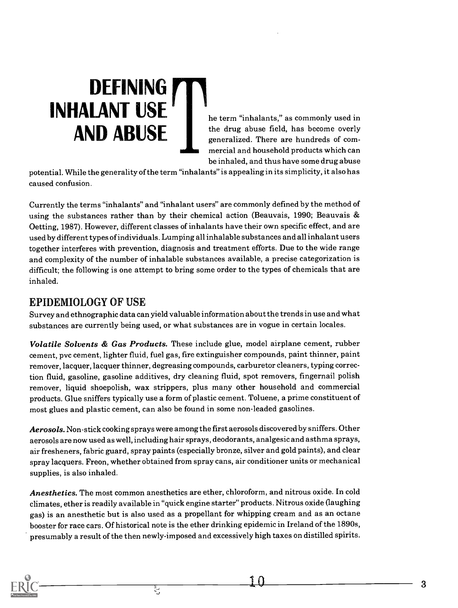# DEFINING **TIN** INHALANT USE he term "inhalants," as commonly used in

 $\mathbf{AND}$  ABUSE the drug abuse field, has become overly generalized. There are hundreds of commercial and household products which can be inhaled, and thus have some drug abuse

potential. While the generality of the term "inhalants" is appealing in its simplicity, it also has caused confusion.

Currently the terms "inhalants" and "inhalant users" are commonly defined by the method of using the substances rather than by their chemical action (Beauvais, 1990; Beauvais & Oetting, 1987). However, different classes of inhalants have their own specific effect, and are used by different types of individuals. Lumping all inhalable substances and all inhalant users together interferes with prevention, diagnosis and treatment efforts. Due to the wide range and complexity of the number of inhalable substances available, a precise categorization is difficult; the following is one attempt to bring some order to the types of chemicals that are inhaled.

#### EPIDEMIOLOGY OF USE

Survey and ethnographic data can yield valuable information about the trends in use and what substances are currently being used, or what substances are in vogue in certain locales.

Volatile Solvents & Gas Products. These include glue, model airplane cement, rubber cement, pvc cement, lighter fluid, fuel gas, fire extinguisher compounds, paint thinner, paint remover, lacquer, lacquer thinner, degreasing compounds, carburetor cleaners, typing correction fluid, gasoline, gasoline additives, dry cleaning fluid, spot removers, fingernail polish remover, liquid shoepolish, wax strippers, plus many other household and commercial products. Glue sniffers typically use a form of plastic cement. Toluene, a prime constituent of most glues and plastic cement, can also be found in some non-leaded gasolines.

Aerosols. Non-stick cooking sprays were among the first aerosols discovered by sniffers. Other aerosols are now used as well, including hair sprays, deodorants, analgesic and asthma sprays, air fresheners, fabric guard, spray paints (especially bronze, silver and gold paints), and clear spray lacquers. Freon, whether obtained from spray cans, air conditioner units or mechanical supplies, is also inhaled.

Anesthetics. The most common anesthetics are ether, chloroform, and nitrous oxide. In cold climates, ether is readily available in "quick engine starter" products. Nitrous oxide (laughing gas) is an anesthetic but is also used as a propellant for whipping cream and as an octane booster for race cars. Of historical note is the ether drinking epidemic in Ireland of the 1890s, presumably a result of the then newly-imposed and excessively high taxes on distilled spirits.

Ţ.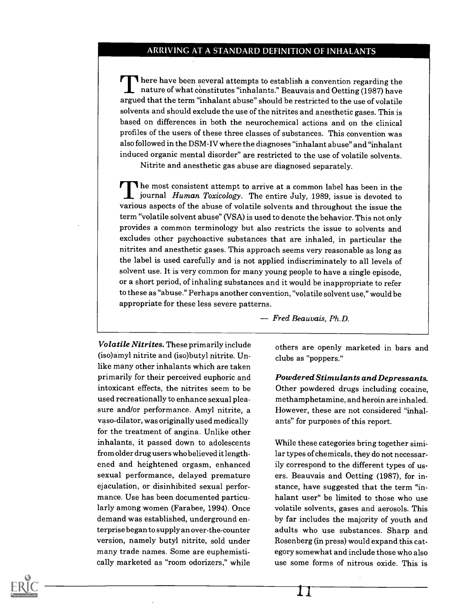#### ARRIVING AT A STANDARD DEFINITION OF INHALANTS

There have been several attempts to establish a convention regarding the nature of what constitutes "inhalants." Beauvais and Oetting (1987) have argued that the term "inhalant abuse" should be restricted to the use of volatile solvents and should exclude the use of the nitrites and anesthetic gases. This is based on differences in both the neurochemical actions and on the clinical profiles of the users of these three classes of substances. This convention was also followed in the DSM-IV where the diagnoses "inhalant abuse" and "inhalant induced organic mental disorder" are restricted to the use of volatile solvents.

Nitrite and anesthetic gas abuse are diagnosed separately.

The most consistent attempt to arrive at a common label has been in the **I** journal *Human Toxicology*. The entire July, 1989, issue is devoted to various aspects of the abuse of volatile solvents and throughout the issue the term "volatile solvent abuse" (VSA) is used to denote the behavior. This not only provides a common terminology but also restricts the issue to solvents and excludes other psychoactive substances that are inhaled, in particular the nitrites and anesthetic gases. This approach seems very reasonable as long as the label is used carefully and is not applied indiscriminately to all levels of solvent use. It is very common for many young people to have a single episode, or a short period, of inhaling substances and it would be inappropriate to refer to these as "abuse." Perhaps another convention, "volatile solvent use," would be appropriate for these less severe patterns.

Volatile Nitrites. These primarily include (iso)amyl nitrite and (iso)butyl nitrite. Unlike many other inhalants which are taken primarily for their perceived euphoric and intoxicant effects, the nitrites seem to be used recreationally to enhance sexual pleasure and/or performance. Amyl nitrite, a vaso-dilator, was originally used medically for the treatment of angina. Unlike other inhalants, it passed down to adolescents from older drug users who believed it lengthened and heightened orgasm, enhanced sexual performance, delayed premature ejaculation, or disinhibited sexual performance. Use has been documented particularly among women (Farabee, 1994). Once demand was established, underground enterprise began to supply an over-the-counter version, namely butyl nitrite, sold under many trade names. Some are euphemistically marketed as "room odorizers," while

Fred Beauvais, Ph.D.

others are openly marketed in bars and clubs as "poppers."

Powdered Stimulants and Depressants. Other powdered drugs including cocaine, methamphetamine, and heroin are inhaled. However, these are not considered "inhalants" for purposes of this report.

While these categories bring together similar types of chemicals, they do not necessarily correspond to the different types of users. Beauvais and Oetting (1987), for instance, have suggested that the term "inhalant user" be limited to those who use volatile solvents, gases and aerosols. This by far includes the majority of youth and adults who use substances. Sharp and Rosenberg (in press) would expand this category somewhat and include those who also use some forms of nitrous oxide. This is

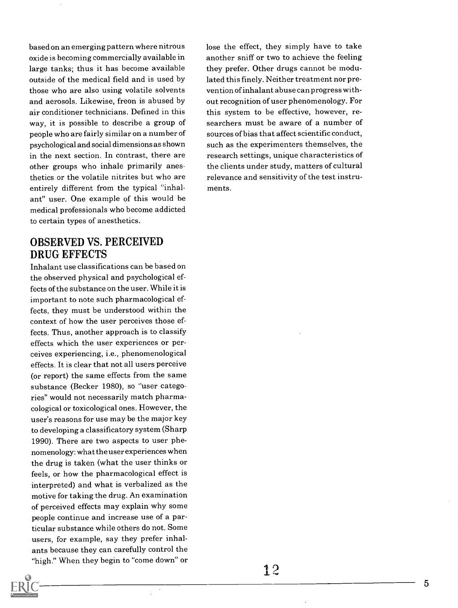based on an emerging pattern where nitrous oxide is becoming commercially available in large tanks; thus it has become available outside of the medical field and is used by those who are also using volatile solvents and aerosols. Likewise, freon is abused by air conditioner technicians. Defined in this way, it is possible to describe a group of people who are fairly similar on a number of psychological and social dimensions as shown in the next section. In contrast, there are other groups who inhale primarily anesthetics or the volatile nitrites but who are entirely different from the typical "inhalant" user. One example of this would be medical professionals who become addicted to certain types of anesthetics.

#### OBSERVED VS. PERCEIVED DRUG EFFECTS

Inhalant use classifications can be based on the observed physical and psychological effects of the substance on the user. While it is important to note such pharmacological effects, they must be understood within the context of how the user perceives those effects. Thus, another approach is to classify effects which the user experiences or perceives experiencing, i.e., phenomenological effects. It is clear that not all users perceive (or report) the same effects from the same substance (Becker 1980), so "user categories" would not necessarily match pharmacological or toxicological ones. However, the user's reasons for use may be the major key to developing a classificatory system (Sharp 1990). There are two aspects to user phenomenology: what the user experiences when the drug is taken (what the user thinks or feels, or how the pharmacological effect is interpreted) and what is verbalized as the motive for taking the drug. An examination of perceived effects may explain why some people continue and increase use of a particular substance while others do not. Some users, for example, say they prefer inhalants because they can carefully control the "high." When they begin to "come down" or lose the effect, they simply have to take another sniff or two to achieve the feeling they prefer. Other drugs cannot be modulated this finely. Neither treatment nor prevention of inhalant abuse can progress without recognition of user phenomenology. For this system to be effective, however, researchers must be aware of a number of sources of bias that affect scientific conduct, such as the experimenters themselves, the research settings, unique characteristics of the clients under study, matters of cultural relevance and sensitivity of the test instruments.

5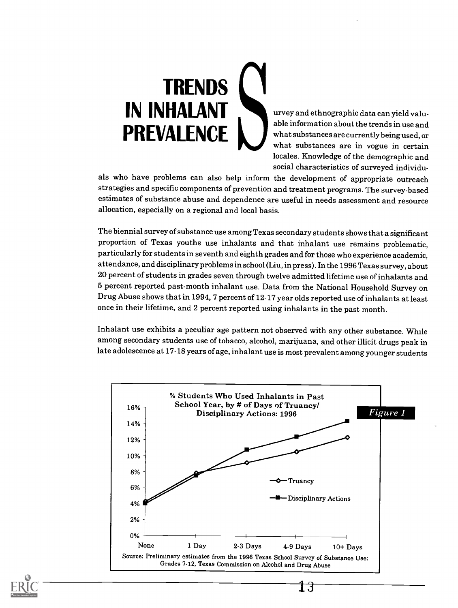# **TRENDS** IN INHALANT Urvey and ethnographic data can yield valu-PREVALENCE

able information about the trends in use and what substances are currently being used, or what substances are in vogue in certain locales. Knowledge of the demographic and social characteristics of surveyed individu-

als who have problems can also help inform the development of appropriate outreach strategies and specific components of prevention and treatment programs. The survey-based estimates of substance abuse and dependence are useful in needs assessment and resource allocation, especially on a regional and local basis.

The biennial survey of substance use among Texas secondary students shows that a significant proportion of Texas youths use inhalants and that inhalant use remains problematic, particularly for students in seventh and eighth grades and for those who experience academic, attendance, and disciplinary problems in school (Liu, in press). In the 1996 Texassurvey, about 20 percent of students in grades seven through twelve admitted lifetime use of inhalants and 5 percent reported past-month inhalant use. Data from the National Household Survey on Drug Abuse shows that in 1994, 7 percent of 12-17 year olds reported use of inhalants at least once in their lifetime, and 2 percent reported using inhalants in the past month.

Inhalant use exhibits a peculiar age pattern not observed with any other substance. While among secondary students use of tobacco, alcohol, marijuana, and other illicit drugs peak in late adolescence at 17-18 years of age, inhalant use is most prevalent among younger students



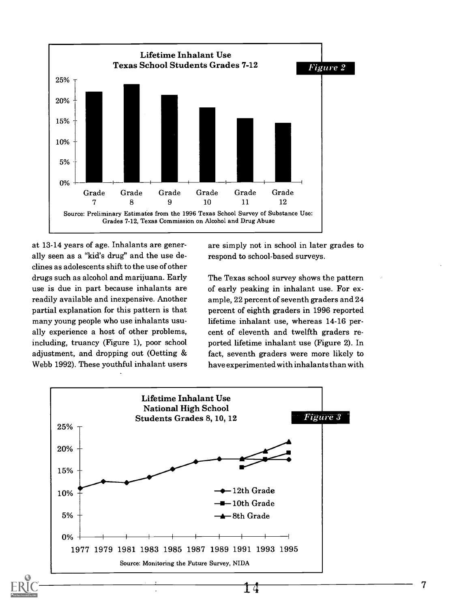

at 13-14 years of age. Inhalants are generally seen as a "kid's drug" and the use declines as adolescents shift to the use of other drugs such as alcohol and marijuana. Early use is due in part because inhalants are readily available and inexpensive. Another partial explanation for this pattern is that many young people who use inhalants usually experience a host of other problems, including, truancy (Figure 1), poor school adjustment, and dropping out (Oetting & Webb 1992). These youthful inhalant users

are simply not in school in later grades to respond to school-based surveys.

The Texas school survey shows the pattern of early peaking in inhalant use. For example, 22 percent of seventh graders and 24 percent of eighth graders in 1996 reported lifetime inhalant use, whereas 14-16 percent of eleventh and twelfth graders reported lifetime inhalant use (Figure 2). In fact, seventh graders were more likely to have experimented with inhalants than with



7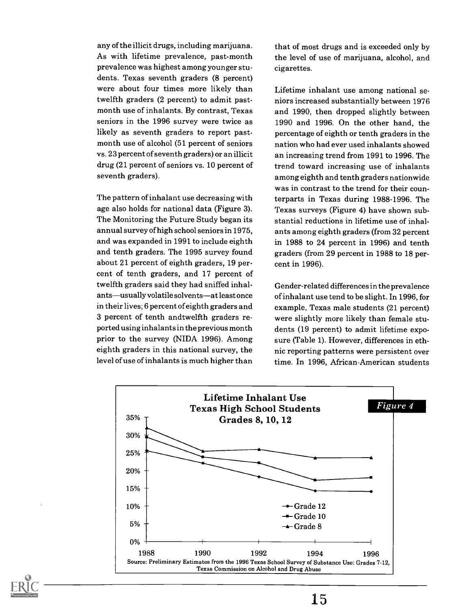any of the illicit drugs, including marijuana. As with lifetime prevalence, past-month prevalence was highest among younger students. Texas seventh graders (8 percent) were about four times more likely than twelfth graders (2 percent) to admit pastmonth use of inhalants. By contrast, Texas seniors in the 1996 survey were twice as likely as seventh graders to report pastmonth use of alcohol (51 percent of seniors vs. 23 percent of seventh graders) or an illicit drug (21 percent of seniors vs. 10 percent of seventh graders).

The pattern of inhalant use decreasing with age also holds for national data (Figure 3). The Monitoring the Future Study began its annual survey of high school seniors in 1975, and was expanded in 1991 to include eighth and tenth graders. The 1995 survey found about 21 percent of eighth graders, 19 percent of tenth graders, and 17 percent of twelfth graders said they had sniffed inhalants—usually volatile solvents—at least once in their lives; 6 percent of eighth graders and 3 percent of tenth andtwelfth graders reported using inhalants in the previous month prior to the survey (NIDA 1996). Among eighth graders in this national survey, the level of use of inhalants is much higher than

that of most drugs and is exceeded only by the level of use of marijuana, alcohol, and cigarettes.

Lifetime inhalant use among national seniors increased substantially between 1976 and 1990, then dropped slightly between 1990 and 1996. On the other hand, the percentage of eighth or tenth graders in the nation who had ever used inhalants showed an increasing trend from 1991 to 1996. The trend toward increasing use of inhalants among eighth and tenth graders nationwide was in contrast to the trend for their counterparts in Texas during 1988-1996. The Texas surveys (Figure 4) have shown substantial reductions in lifetime use of inhalants among eighth graders (from 32 percent in 1988 to 24 percent in 1996) and tenth graders (from 29 percent in 1988 to 18 percent in 1996).

Gender-related differences in the prevalence of inhalant use tend to be slight. In 1996, for example, Texas male students (21 percent) were slightly more likely than female students (19 percent) to admit lifetime exposure (Table 1). However, differences in ethnic reporting patterns were persistent over time. In 1996, African-American students



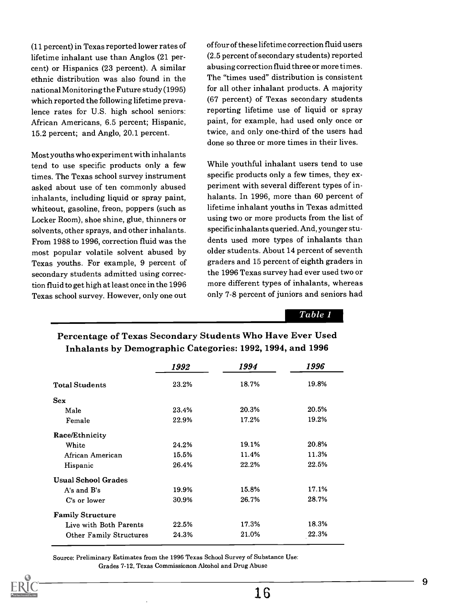(11 percent) in Texas reported lower rates of lifetime inhalant use than Anglos (21 percent) or Hispanics (23 percent). A similar ethnic distribution was also found in the national Monitoring the Future study (1995) which reported the following lifetime prevalence rates for U.S. high school seniors: African Americans, 6.5 percent; Hispanic, 15.2 percent; and Anglo, 20.1 percent.

Most youths who experiment with inhalants tend to use specific products only a few times. The Texas school survey instrument asked about use of ten commonly abused inhalants, including liquid or spray paint, whiteout, gasoline, freon, poppers (such as Locker Room), shoe shine, glue, thinners or solvents, other sprays, and other inhalants. From 1988 to 1996, correction fluid was the most popular volatile solvent abused by Texas youths. For example, 9 percent of secondary students admitted using correction fluid to get high at least once in the 1996 Texas school survey. However, only one out

of four of these lifetime correction fluid users (2.5 percent of secondary students) reported abusing correction fluid three or more times. The "times used" distribution is consistent for all other inhalant products. A majority (67 percent) of Texas secondary students reporting lifetime use of liquid or spray paint, for example, had used only once or twice, and only one-third of the users had done so three or more times in their lives.

While youthful inhalant users tend to use specific products only a few times, they experiment with several different types of inhalants. In 1996, more than 60 percent of lifetime inhalant youths in Texas admitted using two or more products from the list of specific inhalants queried. And, younger students used more types of inhalants than older students. About 14 percent of seventh graders and 15 percent of eighth graders in the 1996 Texas survey had ever used two or more different types of inhalants, whereas only 7-8 percent of juniors and seniors had

Table 1

|                                | 1992  | 1994  | 1996  |
|--------------------------------|-------|-------|-------|
| <b>Total Students</b>          | 23.2% | 18.7% | 19.8% |
| <b>Sex</b>                     |       |       |       |
| Male                           | 23.4% | 20.3% | 20.5% |
| Female                         | 22.9% | 17.2% | 19.2% |
| Race/Ethnicity                 |       |       |       |
| White                          | 24.2% | 19.1% | 20.8% |
| African American               | 15.5% | 11.4% | 11.3% |
| Hispanic                       | 26.4% | 22.2% | 22.5% |
| <b>Usual School Grades</b>     |       |       |       |
| A's and B's                    | 19.9% | 15.8% | 17.1% |
| C's or lower                   | 30.9% | 26.7% | 28.7% |
| <b>Family Structure</b>        |       |       |       |
| Live with Both Parents         | 22.5% | 17.3% | 18.3% |
| <b>Other Family Structures</b> | 24.3% | 21.0% | 22.3% |

#### Percentage of Texas Secondary Students Who Have Ever Used Inhalants by Demographic Categories: 1992, 1994, and 1996

Source: Preliminary Estimates from the 1996 Texas School Survey of Substance Use: Grades 7-12, Texas Commissionon Alcohol and Drug Abuse

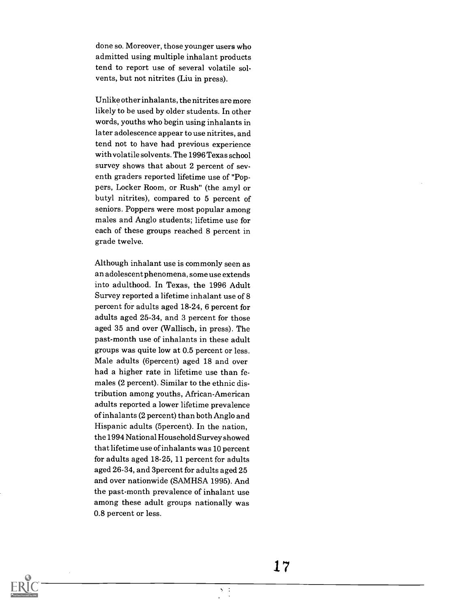done so. Moreover, those younger users who admitted using multiple inhalant products tend to report use of several volatile solvents, but not nitrites (Liu in press).

Unlike other inhalants, the nitrites are more likely to be used by older students. In other words, youths who begin using inhalants in later adolescence appear to use nitrites, and tend not to have had previous experience with volatile solvents. The 1996 Texas school survey shows that about 2 percent of seventh graders reported lifetime use of "Poppers, Locker Room, or Rush" (the amyl or butyl nitrites), compared to 5 percent of seniors. Poppers were most popular among males and Anglo students; lifetime use for each of these groups reached 8 percent in grade twelve.

Although inhalant use is commonly seen as an adolescent phenomena, some use extends into adulthood. In Texas, the 1996 Adult Survey reported a lifetime inhalant use of 8 percent for adults aged 18-24, 6 percent for adults aged 25-34, and 3 percent for those aged 35 and over (Wallisch, in press). The past-month use of inhalants in these adult groups was quite low at 0.5 percent or less. Male adults (6percent) aged 18 and over had a higher rate in lifetime use than females (2 percent). Similar to the ethnic distribution among youths, African-American adults reported a lower lifetime prevalence of inhalants (2 percent) than both Anglo and Hispanic adults (5percent). In the nation, the 1994 National Household Survey showed that lifetime use of inhalants was 10 percent for adults aged 18-25, 11 percent for adults aged 26-34, and 3percent for adults aged 25 and over nationwide (SAMHSA 1995). And the past-month prevalence of inhalant use among these adult groups nationally was 0.8 percent or less.



17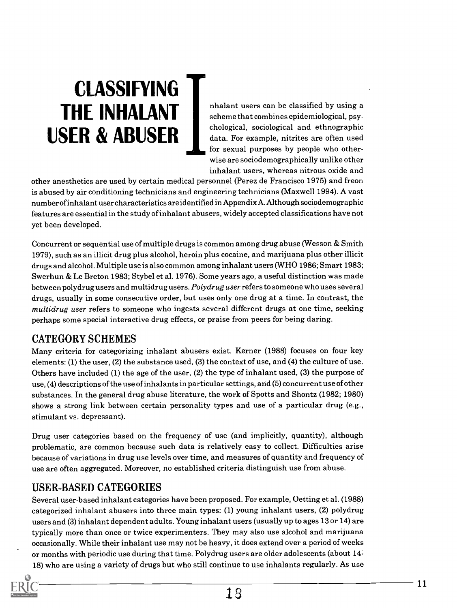# CLASSIFYING USER & ABUSER

THE INHALANT nhalant users can be classified by using a scheme that combines epidemiological, psyscheme that combines epidemiological, psychological, sociological and ethnographic data. For example, nitrites are often used for sexual purposes by people who otherwise are sociodemographically unlike other inhalant users, whereas nitrous oxide and

other anesthetics are used by certain medical personnel (Perez de Francisco 1975) and freon is abused by air conditioning technicians and engineering technicians (Maxwell 1994). A vast number of inhalant user characteristics are identified in Appendix A. Although sociodemographic features are essential in the study of inhalant abusers, widely accepted classifications have not yet been developed.

Concurrent or sequential use of multiple drugs is common among drug abuse (Wesson & Smith 1979), such as an illicit drug plus alcohol, heroin plus cocaine, and marijuana plus other illicit drugs and alcohol. Multiple use is also common among inhalant users (WHO 1986; Smart 1983; Swerhun & Le Breton 1983; Stybel et al. 1976). Some years ago, a useful distinction was made between polydrug users and multidrug users. Polydrug user refers to someone who uses several drugs, usually in some consecutive order, but uses only one drug at a time. In contrast, the multidrug user refers to someone who ingests several different drugs at one time, seeking perhaps some special interactive drug effects, or praise from peers for being daring.

#### CATEGORY SCHEMES

Many criteria for categorizing inhalant abusers exist. Kerner (1988) focuses on four key elements: (1) the user, (2) the substance used, (3) the context of use, and (4) the culture of use. Others have included (1) the age of the user, (2) the type of inhalant used, (3) the purpose of use, (4) descriptions of the use of inhalants in particular settings, and (5) concurrent use of other substances. In the general drug abuse literature, the work of Spotts and Shontz (1982; 1980) shows a strong link between certain personality types and use of a particular drug (e.g., stimulant vs. depressant).

Drug user categories based on the frequency of use (and implicitly, quantity), although problematic, are common because such data is relatively easy to collect. Difficulties arise because of variations in drug use levels over time, and measures of quantity and frequency of use are often aggregated. Moreover, no established criteria distinguish use from abuse.

#### USER-BASED CATEGORIES

Several user-based inhalant categories have been proposed. For example, Oetting et al. (1988) categorized inhalant abusers into three main types: (1) young inhalant users, (2) polydrug users and (3) inhalant dependent adults. Young inhalant users (usually up to ages 13 or 14) are typically more than once or twice experimenters. They may also use alcohol and marijuana occasionally. While their inhalant use may not be heavy, it does extend over a period of weeks or months with periodic use during that time. Polydrug users are older adolescents (about 14-

18) who are using a variety of drugs but who still continue to use inhalants regularly. As use

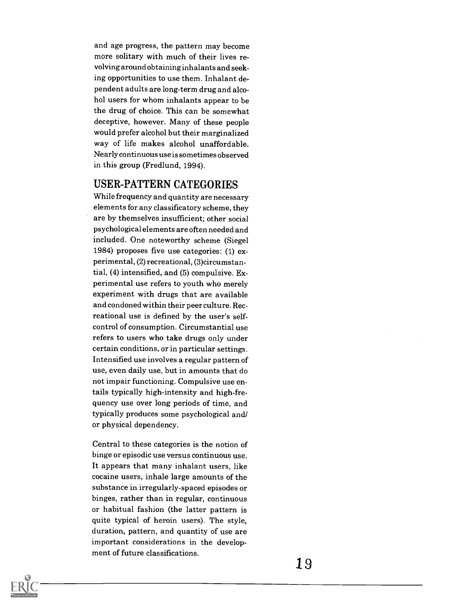and age progress, the pattern may become more solitary with much of their lives revolving around obtaining inhalants and seeking opportunities to use them. Inhalant dependent adults are long-term drug and alcohol users for whom inhalants appear to be the drug of choice. This can be somewhat deceptive, however. Many of these people would prefer alcohol but their marginalized way of life makes alcohol unaffordable. Nearly continuous use is sometimes observed in this group (Fredlund, 1994).

#### USER-PATTERN CATEGORIES

While frequency and quantity are necessary elements for any classificatory scheme, they are by themselves insufficient; other social psychological elements are often needed and included. One noteworthy scheme (Siegel 1984) proposes five use categories: (1) experimental, (2) recreational, (3)circumstantial, (4) intensified, and (5) compulsive. Experimental use refers to youth who merely experiment with drugs that are available and condoned within their peer culture. Recreational use is defined by the user's selfcontrol of consumption. Circumstantial use refers to users who take drugs only under certain conditions, or in particular settings. Intensified use involves a regular pattern of use, even daily use, but in amounts that do not impair functioning. Compulsive use entails typically high-intensity and high-frequency use over long periods of time, and typically produces some psychological and/ or physical dependency.

Central to these categories is the notion of binge or episodic use versus continuous use. It appears that many inhalant users, like cocaine users, inhale large amounts of the substance in irregularly-spaced episodes or binges, rather than in regular, continuous or habitual fashion (the latter pattern is quite typical of heroin users). The style, duration, pattern, and quantity of use are important considerations in the development of future classifications.

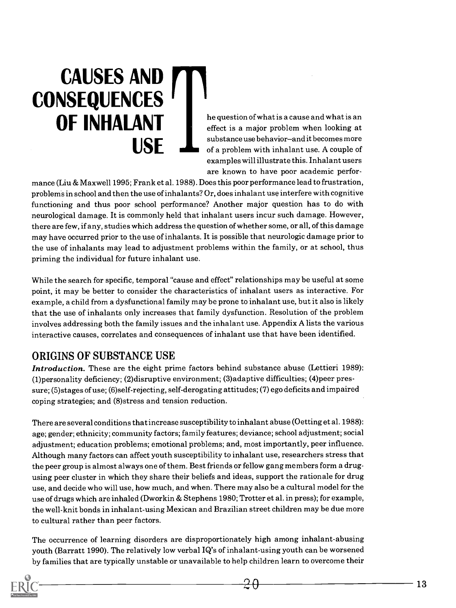# CAUSES AND **CONSEQUENCES USF**

substance use behavior-and it becomes more **OF INHALANT** he question of what is a cause and what is an equestion of what is an equestion of what is an equestion of what is an equestion of what is an equestion of what is an equestion when looking at effect is a major problem when looking at of a problem with inhalant use. A couple of examples will illustrate this. Inhalant users are known to have poor academic perfor-

mance (Liu & Maxwell 1995; Frank et al. 1988). Does this poor performance lead to frustration, problems in school and then the use of inhalants? Or, does inhalant use interfere with cognitive functioning and thus poor school performance? Another major question has to do with neurological damage. It is commonly held that inhalant users incur such damage. However, there are few, if any, studies which address the question of whether some, or all, of this damage may have occurred prior to the use of inhalants. It is possible that neurologic damage prior to the use of inhalants may lead to adjustment problems within the family, or at school, thus priming the individual for future inhalant use.

While the search for specific, temporal "cause and effect" relationships may be useful at some point, it may be better to consider the characteristics of inhalant users as interactive. For example, a child from a dysfunctional family may be prone to inhalant use, but it also is likely that the use of inhalants only increases that family dysfunction. Resolution of the problem involves addressing both the family issues and the inhalant use. Appendix A lists the various interactive causes, correlates and consequences of inhalant use that have been identified.

#### ORIGINS OF SUBSTANCE USE

Introduction. These are the eight prime factors behind substance abuse (Lettieri 1989): (1)personality deficiency; (2)disruptive environment; (3)adaptive difficulties; (4)peer pressure; (5)stages of use; (6)self-rejecting, self-derogating attitudes; (7) ego deficits and impaired coping strategies; and (8)stress and tension reduction.

There are several conditions that increase susceptibility to inhalant abuse (Oetting et al. 1988): age; gender; ethnicity; community factors; family features; deviance; school adjustment; social adjustment; education problems; emotional problems; and, most importantly, peer influence. Although many factors can affect youth susceptibility to inhalant use, researchers stress that the peer group is almost always one of them. Best friends or fellow gang members form a drugusing peer cluster in which they share their beliefs and ideas, support the rationale for drug use, and decide who will use, how much, and when. There may also be a cultural model for the use of drugs which are inhaled (Dworkin & Stephens 1980; Trotter et al. in press); for example, the well-knit bonds in inhalant-using Mexican and Brazilian street children may be due more to cultural rather than peer factors.

The occurrence of learning disorders are disproportionately high among inhalant-abusing youth (Barratt 1990). The relatively low verbal IQ's of inhalant-using youth can be worsened by families that are typically unstable or unavailable to help children learn to overcome their

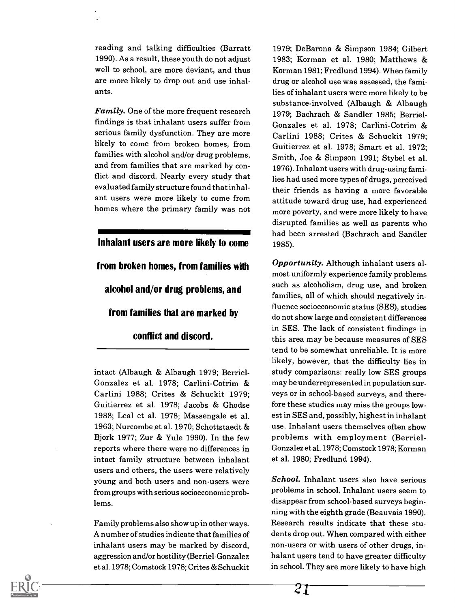reading and talking difficulties (Barratt 1990). As a result, these youth do not adjust well to school, are more deviant, and thus are more likely to drop out and use inhalants.

Family. One of the more frequent research findings is that inhalant users suffer from serious family dysfunction. They are more likely to come from broken homes, from families with alcohol and/or drug problems, and from families that are marked by conflict and discord. Nearly every study that evaluated family structure found that inhalant users were more likely to come from homes where the primary family was not

### Inhalant users are more likely to come from broken homes, from families with alcohol and/or drug problems, and from families that are marked by conflict and discord.

intact (Albaugh & Albaugh 1979; Berriel-Gonzalez et al. 1978; Carlini-Cotrim & Carlini 1988; Crites & Schuckit 1979; Guitierrez et al. 1978; Jacobs & Ghodse 1988; Leal et al. 1978; Massengale et al. 1963; Nurcombe et al. 1970; Schottstaedt & Bjork 1977; Zur & Yule 1990). In the few reports where there were no differences in intact family structure between inhalant users and others, the users were relatively young and both users and non-users were from groups with serious socioeconomic problems.

Family problems also show up in other ways. A number of studies indicate that families of inhalant users may be marked by discord, aggression and/or hostility (Berriel-Gonzalez et al. 1978; Comstock 1978; Crites & Schuckit

 $\overline{C}$   $\overline{\phantom{0}}$ 

1979; DeBarona & Simpson 1984; Gilbert 1983; Korman et al. 1980; Matthews & Korman 1981; Fredlund 1994). When family drug or alcohol use was assessed, the families of inhalant users were more likely to be substance-involved (Albaugh & Albaugh 1979; Bachrach & Sandler 1985; Berriel-Gonzales et al. 1978; Carlini-Cotrim & Carlini 1988; Crites & Schuckit 1979; Guitierrez et al. 1978; Smart et al. 1972; Smith, Joe & Simpson 1991; Stybel et al. 1976). Inhalant users with drug-using families had used more types of drugs, perceived their friends as having a more favorable attitude toward drug use, had experienced more poverty, and were more likely to have disrupted families as well as parents who had been arrested (Bachrach and Sandler 1985).

**Opportunity.** Although inhalant users almost uniformly experience family problems such as alcoholism, drug use, and broken families, all of which should negatively influence socioeconomic status (SES), studies do not show large and consistent differences in SES. The lack of consistent findings in this area may be because measures of SES tend to be somewhat unreliable. It is more likely, however, that the difficulty lies in study comparisons: really low SES groups may be underrepresented in population surveys or in school-based surveys, and therefore these studies may miss the groups lowest in SES and, possibly, highest in inhalant use. Inhalant users themselves often show problems with employment (Berriel-Gonzalez et al. 1978; Comstock 1978; Korman et al. 1980; Fredlund 1994).

School. Inhalant users also have serious problems in school. Inhalant users seem to disappear from school-based surveys beginning with the eighth grade (Beauvais 1990). Research results indicate that these students drop out. When compared with either non-users or with users of other drugs, inhalant users tend to have greater difficulty in school. They are more likely to have high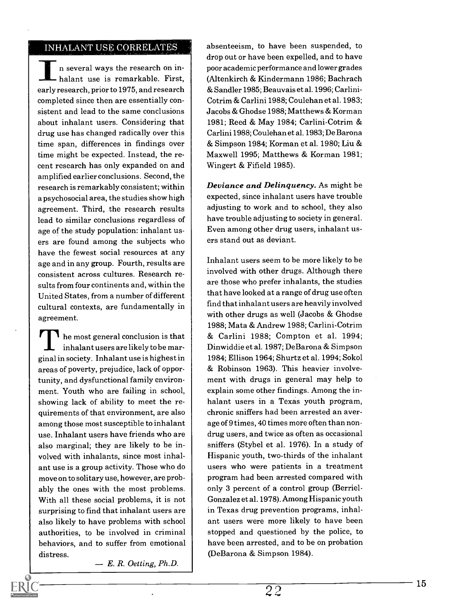#### INHALANT USE CORRELATES

n several ways the research on inhalant use is remarkable. First, early research, prior to 1975, and research completed since then are essentially consistent and lead to the same conclusions about inhalant users. Considering that drug use has changed radically over this time span, differences in findings over time might be expected. Instead, the recent research has only expanded on and amplified earlier conclusions. Second, the research is remarkably consistent; within a psychosocial area, the studies show high agreement. Third, the research results lead to similar conclusions regardless of age of the study population: inhalant users are found among the subjects who have the fewest social resources at any age and in any group. Fourth, results are consistent across cultures. Research results from four continents and, within the United States, from a number of different cultural contexts, are fundamentally in agreement.

**T** he most general conclusion is that inhalant users are likely to be marginal in society. Inhalant use is highest in areas of poverty, prejudice, lack of opportunity, and dysfunctional family environment. Youth who are failing in school, showing lack of ability to meet the requirements of that environment, are also among those most susceptible to inhalant use. Inhalant users have friends who are also marginal; they are likely to be involved with inhalants, since most inhalant use is a group activity. Those who do move on to solitary use, however, are probably the ones with the most problems. With all these social problems, it is not surprising to find that inhalant users are also likely to have problems with school authorities, to be involved in criminal behaviors, and to suffer from emotional distress.

 $E. R.$  Oetting,  $Ph.D.$ 

absenteeism, to have been suspended, to drop out or have been expelled, and to have poor academic performance and lower grades (Altenkirch & Kindermann 1986; Bachrach & Sandler 1985; Beauvais et al. 1996; Carlini-Cotrim & Carlini 1988; Coulehan et al. 1983; Jacobs & Ghodse 1988; Matthews & Korman 1981; Reed & May 1984; Carlini-Cotrim & Carlini 1988; Coulehan et al. 1983; De Barona & Simpson 1984; Korman et al. 1980; Liu & Maxwell 1995; Matthews & Korman 1981; Wingert & Fifield 1985).

Deviance and Delinquency. As might be expected, since inhalant users have trouble adjusting to work and to school, they also have trouble adjusting to society in general. Even among other drug users, inhalant users stand out as deviant.

Inhalant users seem to be more likely to be involved with other drugs. Although there are those who prefer inhalants, the studies that have looked at a range of drug use often find that inhalant users are heavily involved with other drugs as well (Jacobs & Ghodse 1988; Mata & Andrew 1988; Carlini-Cotrim & Carlini 1988; Compton et al. 1994; Dinwiddie et al. 1987; DeBarona & Simpson 1984; Ellison 1964; Shurtz et al. 1994; Sokol & Robinson 1963). This heavier involvement with drugs in general may help to explain some other findings. Among the inhalant users in a Texas youth program, chronic sniffers had been arrested an average of 9 times, 40 times more often than nondrug users, and twice as often as occasional sniffers (Stybel et al. 1976). In a study of Hispanic youth, two-thirds of the inhalant users who were patients in a treatment program had been arrested compared with only 3 percent of a control group (Berriel-Gonzalez et al. 1978). Among Hispanic youth in Texas drug prevention programs, inhalant users were more likely to have been stopped and questioned by the police, to have been arrested, and to be on probation (DeBarona & Simpson 1984).

22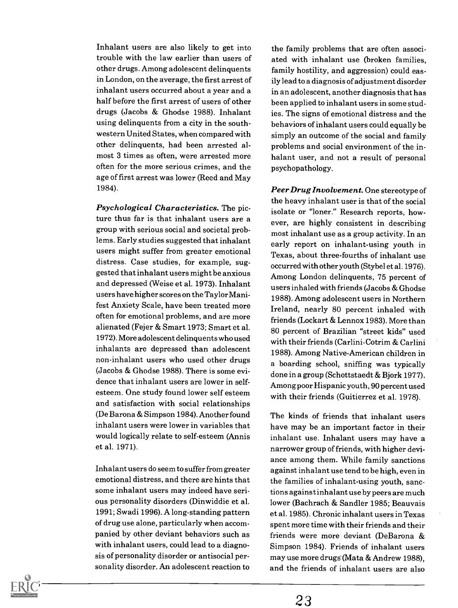Inhalant users are also likely to get into trouble with the law earlier than users of other drugs. Among adolescent delinquents in London, on the average, the first arrest of inhalant users occurred about a year and a half before the first arrest of users of other drugs (Jacobs & Ghodse 1988). Inhalant using delinquents from a city in the southwestern United States, when compared with other delinquents, had been arrested almost 3 times as often, were arrested more often for the more serious crimes, and the age of first arrest was lower (Reed and May 1984).

Psychological Characteristics. The picture thus far is that inhalant users are a group with serious social and societal problems. Early studies suggested that inhalant users might suffer from greater emotional distress. Case studies, for example, suggested that inhalant users might be anxious and depressed (Weise et al. 1973). Inhalant users have higher scores on the Taylor Manifest Anxiety Scale, have been treated more often for emotional problems, and are more alienated (Fejer & Smart 1973; Smart et al. 1972). More adolescent delinquents who used inhalants are depressed than adolescent non-inhalant users who used other drugs (Jacobs & Ghodse 1988). There is some evidence that inhalant users are lower in selfesteem. One study found lower self esteem and satisfaction with social relationships (De Barona & Simpson 1984). Another found inhalant users were lower in variables that would logically relate to self-esteem (Annis et al. 1971).

Inhalant users do seem to suffer from greater emotional distress, and there are hints that some inhalant users may indeed have serious personality disorders (Dinwiddie et al. 1991; Swadi 1996). A long-standing pattern of drug use alone, particularly when accompanied by other deviant behaviors such as with inhalant users, could lead to a diagnosis of personality disorder or antisocial personality disorder. An adolescent reaction to

the family problems that are often associated with inhalant use (broken families, family hostility, and aggression) could easily lead to a diagnosis of adjustment disorder in an adolescent, another diagnosis that has been applied to inhalant users in some studies. The signs of emotional distress and the behaviors of inhalant users could equally be simply an outcome of the social and family problems and social environment of the inhalant user, and not a result of personal psychopathology.

Peer Drug Involvement. One stereotype of the heavy inhalant user is that of the social isolate or "loner." Research reports, however, are highly consistent in describing most inhalant use as a group activity. In an early report on inhalant-using youth in Texas, about three-fourths of inhalant use occurred with other youth (Stybel et al. 1976). Among London delinquents, 75 percent of users inhaled with friends (Jacobs & Ghodse 1988). Among adolescent users in Northern Ireland, nearly 80 percent inhaled with friends (Lockart & Lennox 1983). More than 80 percent of Brazilian "street kids" used with their friends (Carlini-Cotrim & Carlini 1988). Among Native-American children in a boarding school, sniffing was typically done in a group (Schottstaedt & Bjork 1977). Among poor Hispanic youth, 90 percent used with their friends (Guitierrez et al. 1978).

The kinds of friends that inhalant users have may be an important factor in their inhalant use. Inhalant users may have a narrower group of friends, with higher deviance among them. While family sanctions against inhalant use tend to be high, even in the families of inhalant-using youth, sanctions against inhalant use by peers are much lower (Bachrach & Sandler 1985; Beauvais et al. 1985). Chronic inhalant users in Texas spent more time with their friends and their friends were more deviant (DeBarona & Simpson 1984). Friends of inhalant users may use more drugs (Mata & Andrew 1988), and the friends of inhalant users are also

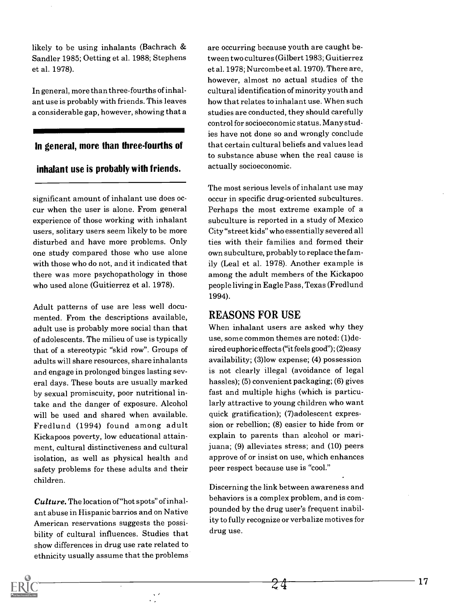likely to be using inhalants (Bachrach & Sandler 1985; Oetting et al. 1988; Stephens et al. 1978).

In general, more than three-fourths of inhalant use is probably with friends. This leaves a considerable gap, however, showing that a

#### In general, more than three-fourths of

#### inhalant use is probably with friends.

significant amount of inhalant use does occur when the user is alone. From general experience of those working with inhalant users, solitary users seem likely to be more disturbed and have more problems. Only one study compared those who use alone with those who do not, and it indicated that there was more psychopathology in those who used alone (Guitierrez et al. 1978).

Adult patterns of use are less well documented. From the descriptions available, adult use is probably more social than that of adolescents. The milieu of use is typically that of a stereotypic "skid row". Groups of adults will share resources, share inhalants and engage in prolonged binges lasting several days. These bouts are usually marked by sexual promiscuity, poor nutritional intake and the danger of exposure. Alcohol will be used and shared when available. Fredlund (1994) found among adult Kickapoos poverty, low educational attainment, cultural distinctiveness and cultural isolation, as well as physical health and safety problems for these adults and their children.

Culture. The location of "hot spots" of inhalant abuse in Hispanic barrios and on Native American reservations suggests the possibility of cultural influences. Studies that show differences in drug use rate related to ethnicity usually assume that the problems are occurring because youth are caught between two cultures (Gilbert 1983; Guitierrez et al. 1978; Nurcombe et al. 1970). There are, however, almost no actual studies of the cultural identification of minority youth and how that relates to inhalant use. When such studies are conducted, they should carefully control for socioeconomic status. Many studies have not done so and wrongly conclude that certain cultural beliefs and values lead to substance abuse when the real cause is actually socioeconomic.

The most serious levels of inhalant use may occur in specific drug-oriented subcultures. Perhaps the most extreme example of a subculture is reported in a study of Mexico City "street kids" who essentially severed all ties with their families and formed their own subculture, probably to replace the family (Leal et al. 1978). Another example is among the adult members of the Kickapoo people living in Eagle Pass, Texas (Fredlund 1994).

#### REASONS FOR USE

When inhalant users are asked why they use, some common themes are noted: (1)desired euphoric effects ("it feels good"); (2)easy availability; (3)low expense; (4) possession is not clearly illegal (avoidance of legal hassles); (5) convenient packaging; (6) gives fast and multiple highs (which is particularly attractive to young children who want quick gratification); (7)adolescent expression or rebellion; (8) easier to hide from or explain to parents than alcohol or marijuana; (9) alleviates stress; and (10) peers approve of or insist on use, which enhances peer respect because use is "cool."

Discerning the link between awareness and behaviors is a complex problem, and is compounded by the drug user's frequent inability to fully recognize or verbalize motives for drug use.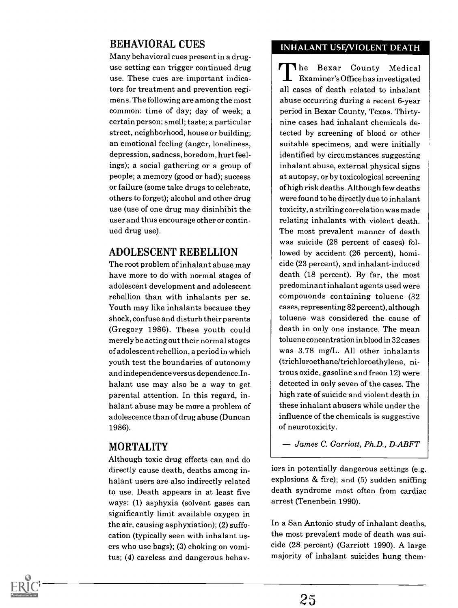#### BEHAVIORAL CUES

Many behavioral cues present in a druguse setting can trigger continued drug use. These cues are important indicators for treatment and prevention regimens. The following are among the most common: time of day; day of week; a certain person; smell; taste; a particular street, neighborhood, house or building; an emotional feeling (anger, loneliness, depression, sadness, boredom, hurt feelings); a social gathering or a group of people; a memory (good or bad); success or failure (some take drugs to celebrate, others to forget); alcohol and other drug use (use of one drug may disinhibit the user and thus encourage other or continued drug use).

#### ADOLESCENT REBELLION

The root problem of inhalant abuse may have more to do with normal stages of adolescent development and adolescent rebellion than with inhalants per se. Youth may like inhalants because they shock, confuse and disturb their parents (Gregory 1986). These youth could merely be acting out their normal stages of adolescent rebellion, a period in which youth test the boundaries of autonomy and independence versus dependence.Inhalant use may also be a way to get parental attention. In this regard, inhalant abuse may be more a problem of adolescence than of drug abuse (Duncan 1986).

#### MORTALITY

Although toxic drug effects can and do directly cause death, deaths among inhalant users are also indirectly related to use. Death appears in at least five ways: (1) asphyxia (solvent gases can significantly limit available oxygen in the air, causing asphyxiation); (2) suffocation (typically seen with inhalant users who use bags); (3) choking on vomitus; (4) careless and dangerous behav-

#### INHALANT USE/VIOLENT DEATH

The Bexar County Medical **L** Examiner's Office has investigated all cases of death related to inhalant abuse occurring during a recent 6-year period in Bexar County, Texas. Thirtynine cases had inhalant chemicals detected by screening of blood or other suitable specimens, and were initially identified by circumstances suggesting inhalant abuse, external physical signs at autopsy, or by toxicological screening of high risk deaths. Although few deaths were found to be directly due to inhalant toxicity, a striking correlation was made relating inhalants with violent death. The most prevalent manner of death was suicide (28 percent of cases) followed by accident (26 percent), homicide (23 percent), and inhalant-induced death (18 percent). By far, the most predominant inhalant agents used were compouonds containing toluene (32 cases, representing 82 percent), although toluene was considered the cause of death in only one instance. The mean toluene concentration in blood in 32 cases was 3.78 mg/L. All other inhalants (trichloroethane/trichloroethylene, nitrous oxide, gasoline and freon 12) were detected in only seven of the cases. The high rate of suicide and violent death in these inhalant abusers while under the influence of the chemicals is suggestive of neurotoxicity.

James C. Garriott, Ph.D., D-ABFT

iors in potentially dangerous settings (e.g. explosions  $&$  fire); and (5) sudden sniffing death syndrome most often from cardiac arrest (Tenenbein 1990).

In a San Antonio study of inhalant deaths, the most prevalent mode of death was suicide (28 percent) (Garriott 1990). A large majority of inhalant suicides hung them-

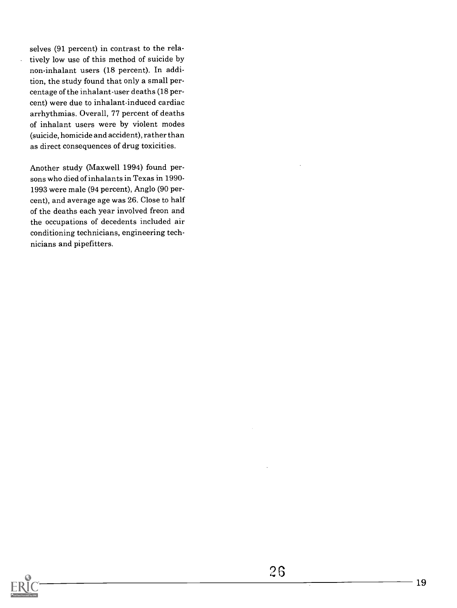selves (91 percent) in contrast to the relatively low use of this method of suicide by non-inhalant users (18 percent). In addition, the study found that only a small percentage of the inhalant-user deaths (18 percent) were due to inhalant-induced cardiac arrhythmias. Overall, 77 percent of deaths of inhalant users were by violent modes (suicide, homicide and accident), rather than as direct consequences of drug toxicities.

 $\ddot{\phantom{a}}$ 

Another study (Maxwell 1994) found persons who died of inhalants in Texas in 1990- 1993 were male (94 percent), Anglo (90 percent), and average age was 26. Close to half of the deaths each year involved freon and the occupations of decedents included air conditioning technicians, engineering technicians and pipefitters.

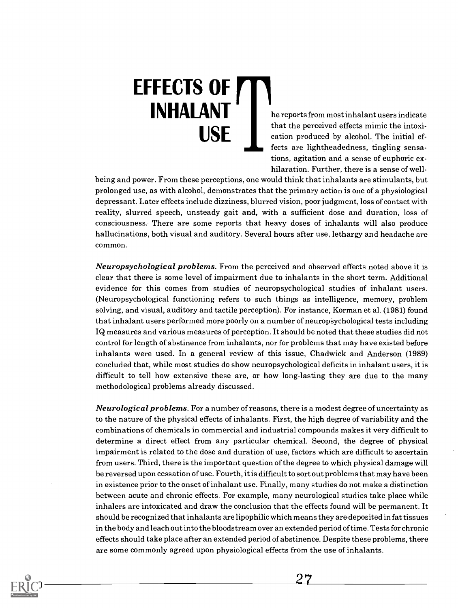# EFFECTS OF **INHALANT**

he reports from most inhalant users indicate  $\overline{\text{USE}}$  cation produced by alcohol. The initial efthat the perceived effects mimic the intoxifects are lightheadedness, tingling sensations, agitation and a sense of euphoric exhilaration. Further, there is a sense of well-

being and power. From these perceptions, one would think that inhalants are stimulants, but prolonged use, as with alcohol, demonstrates that the primary action is one of a physiological depressant. Later effects include dizziness, blurred vision, poor judgment, loss of contact with reality, slurred speech, unsteady gait and, with a sufficient dose and duration, loss of consciousness. There are some reports that heavy doses of inhalants will also produce hallucinations, both visual and auditory. Several hours after use, lethargy and headache are common.

Neuropsychological problems. From the perceived and observed effects noted above it is clear that there is some level of impairment due to inhalants in the short term. Additional evidence for this comes from studies of neuropsychological studies of inhalant users. (Neuropsychological functioning refers to such things as intelligence, memory, problem solving, and visual, auditory and tactile perception). For instance, Korman et al. (1981) found that inhalant users performed more poorly on a number of neuropsychological tests including IQ measures and various measures of perception. It should be noted that these studies did not control for length of abstinence from inhalants, nor for problems that may have existed before inhalants were used. In a general review of this issue, Chadwick and Anderson (1989) concluded that, while most studies do show neuropsychological deficits in inhalant users, it is difficult to tell how extensive these are, or how long-lasting they are due to the many methodological problems already discussed.

Neurological problems. For a number of reasons, there is a modest degree of uncertainty as to the nature of the physical effects of inhalants. First, the high degree of variability and the combinations of chemicals in commercial and industrial compounds makes it very difficult to determine a direct effect from any particular chemical. Second, the degree of physical impairment is related to the dose and duration of use, factors which are difficult to ascertain from users. Third, there is the important question of the degree to which physical damage will be reversed upon cessation of use. Fourth, it is difficult to sort out problems that may have been in existence prior to the onset of inhalant use. Finally, many studies do not make a distinction between acute and chronic effects. For example, many neurological studies take place while inhalers are intoxicated and draw the conclusion that the effects found will be permanent. It should be recognized that inhalants are lipophilic which means they are deposited in fat tissues in the body and leach out into the bloodstream over an extended period of time. Tests for chronic effects should take place after an extended period of abstinence. Despite these problems, there are some commonly agreed upon physiological effects from the use of inhalants.

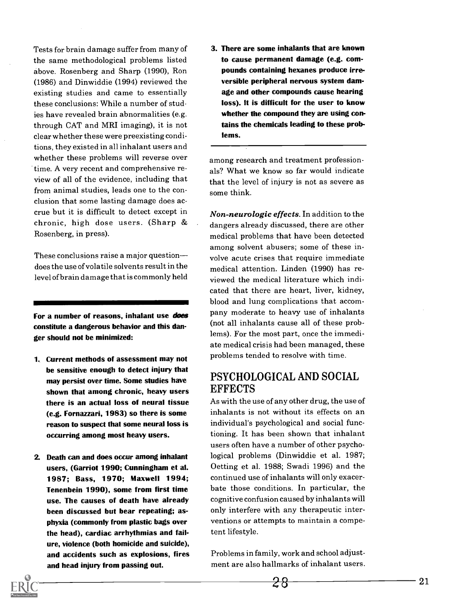Tests for brain damage suffer from many of the same methodological problems listed above. Rosenberg and Sharp (1990), Ron (1986) and Dinwiddie (1994) reviewed the existing studies and came to essentially these conclusions: While a number of studies have revealed brain abnormalities (e.g. through CAT and MRI imaging), it is not clear whether these were preexisting conditions, they existed in all inhalant users and whether these problems will reverse over time. A very recent and comprehensive review of all of the evidence, including that from animal studies, leads one to the conclusion that some lasting damage does accrue but it is difficult to detect except in chronic, high dose users. (Sharp & Rosenberg, in press).

These conclusions raise a major question does the use of volatile solvents result in the level of brain damage that is commonly held

For a number of reasons, inhalant use does constitute a dangerous behavior and this danger should not be minimized:

- 1. Current methods of assessment may not be sensitive enough to detect injury that may persist over time. Some studies have shown that among chronic, heavy users there is an actual loss of neural tissue (e.g. Fornazzari, 1983) so there is some reason to suspect that some neural loss is occurring among most heavy users.
- 2. Death can and does occur among inhalant users, (Garriot 1990; Cunningham et al. 1987; Bass, 1970; Maxwell 1994; Tenenbein 1990), some from first time use. The causes of death have already been discussed but bear repeating; asphyxia (commonly from plastic bags over the head), cardiac arrhythmias and failure, violence (both homicide and suicide), and accidents such as explosions, fires and head injury from passing out.

3. There are some inhalants that are known to cause permanent damage (e.g. compounds containing hexanes produce irreversible peripheral nervous system damage and other compounds cause hearing loss). It is difficult for the user to know whether the compound they are using contains the chemicals leading to these problems.

among research and treatment professionals? What we know so far would indicate that the level of injury is not as severe as some think.

Non-neurologic effects. In addition to the dangers already discussed, there are other medical problems that have been detected among solvent abusers; some of these involve acute crises that require immediate medical attention. Linden (1990) has reviewed the medical literature which indicated that there are heart, liver, kidney, blood and lung complications that accompany moderate to heavy use of inhalants (not all inhalants cause all of these problems). For the most part, once the immediate medical crisis had been managed, these problems tended to resolve with time.

#### PSYCHOLOGICAL AND SOCIAL **EFFECTS**

As with the use of any other drug, the use of inhalants is not without its effects on an individual's psychological and social functioning. It has been shown that inhalant users often have a number of other psychological problems (Dinwiddie et al. 1987; Oetting et al. 1988; Swadi 1996) and the continued use of inhalants will only exacerbate those conditions. In particular, the cognitive confusion caused by inhalants will only interfere with any therapeutic interventions or attempts to maintain a competent lifestyle.

Problems in family, work and school adjustment are also hallmarks of inhalant users.

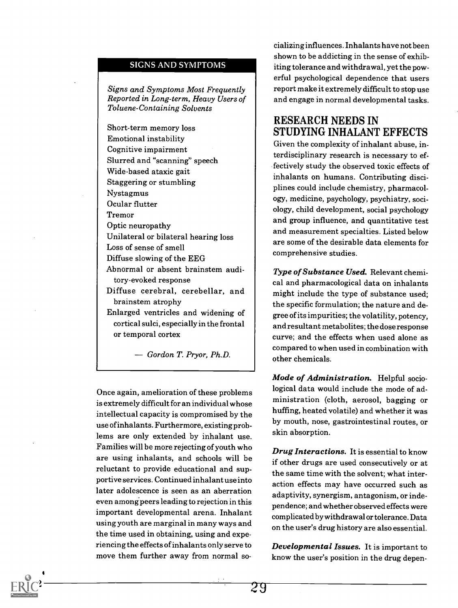#### SIGNS AND SYMPTOMS

Signs and Symptoms Most Frequently Reported in Long-term, Heavy Users of Toluene-Containing Solvents

Short-term memory loss Emotional instability Cognitive impairment Slurred and "scanning" speech Wide-based ataxic gait Staggering or stumbling Nystagmus Ocular flutter Tremor Optic neuropathy Unilateral or bilateral hearing loss Loss of sense of smell Diffuse slowing of the EEG Abnormal or absent brainstem auditory-evoked response Diffuse cerebral, cerebellar, and brainstem atrophy Enlarged ventricles and widening of cortical sulci, especially in the frontal or temporal cortex

 $\rightarrow$  Gordon T. Pryor, Ph.D.

Once again, amelioration of these problems is extremely difficult for an individual whose intellectual capacity is compromised by the use of inhalants. Furthermore, existing problems are only extended by inhalant use. Families will be more rejecting of youth who are using inhalants, and schools will be reluctant to provide educational and supportive services. Continued inhalant use into later adolescence is seen as an aberration even amongpeers leading to rejection in this important developmental arena. Inhalant using youth are marginal in many ways and the time used in obtaining, using and experiencing the effects of inhalants only serve to move them further away from normal so-

22

cializing influences. Inhalants have not been shown to be addicting in the sense of exhibiting tolerance and withdrawal, yet the powerful psychological dependence that users report make it extremely difficult to stop use and engage in normal developmental tasks.

#### RESEARCH NEEDS IN STUDYING INHALANT EFFECTS

Given the complexity of inhalant abuse, interdisciplinary research is necessary to effectively study the observed toxic effects of inhalants on humans. Contributing disciplines could include chemistry, pharmacology, medicine, psychology, psychiatry, sociology, child development, social psychology and group influence, and quantitative test and measurement specialties. Listed below are some of the desirable data elements for comprehensive studies.

Type of Substance Used. Relevant chemical and pharmacological data on inhalants might include the type of substance used; the specific formulation; the nature and degree of its impurities; the volatility, potency, and resultant metabolites; the dose response curve; and the effects when used alone as compared to when used in combination with other chemicals.

Mode of Administration. Helpful sociological data would include the mode of administration (cloth, aerosol, bagging or huffing, heated volatile) and whether it was by mouth, nose, gastrointestinal routes, or skin absorption.

**Drug Interactions.** It is essential to know if other drugs are used consecutively or at the same time with the solvent; what interaction effects may have occurred such as adaptivity, synergism, antagonism, or independence; and whether observed effects were complicated by withdrawal or tolerance. Data on the user's drug history are also essential.

Developmental Issues. It is important to know the user's position in the drug depen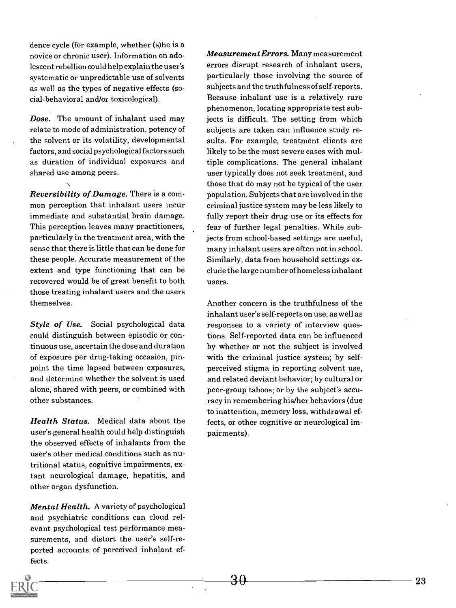dence cycle (for example, whether (s)he is a novice or chronic user). Information on adolescent rebellion could help explain the user's systematic or unpredictable use of solvents as well as the types of negative effects (social-behavioral and/or toxicological).

Dose. The amount of inhalant used may relate to mode of administration, potency of the solvent or its volatility, developmental factors, and social psychological factors such as duration of individual exposures and shared use among peers.

Reversibility of Damage. There is a common perception that inhalant users incur immediate and substantial brain damage. This perception leaves many practitioners, particularly in the treatment area, with the sense that there is little that can be done for these people. Accurate measurement of the extent and type functioning that can be recovered would be of great benefit to both those treating inhalant users and the users themselves.

Style of Use. Social psychological data could distinguish between episodic or continuous use, ascertain the dose and duration of exposure per drug-taking occasion, pinpoint the time lapsed between exposures, and determine whether the solvent is used alone, shared with peers, or combined with other substances.

Health Status. Medical data about the user's general health could help distinguish the observed effects of inhalants from the user's other medical conditions such as nutritional status, cognitive impairments, extant neurological damage, hepatitis, and other organ dysfunction.

Mental Health. A variety of psychological and psychiatric conditions can cloud relevant psychological test performance measurements, and distort the user's self-reported accounts of perceived inhalant effects.

Measurement Errors. Many measurement errors disrupt research of inhalant users, particularly those involving the source of subjects and the truthfulness of self-reports. Because inhalant use is a relatively rare phenomenon, locating appropriate test subjects is difficult. The setting from which subjects are taken can influence study results. For example, treatment clients are likely to be the most severe cases with multiple complications. The general inhalant user typically does not seek treatment, and those that do may not be typical of the user population. Subjects that are involved in the criminal justice system may be less likely to fully report their drug use or its effects for fear of further legal penalties. While subjects from school-based settings are useful, many inhalant users are often not in school. Similarly, data from household settings exclude the large number of homeless inhalant users.

Another concern is the truthfulness of the inhalant user's self-reports on use, as well as responses to a variety of interview questions. Self-reported data can be influenced by whether or not the subject is involved with the criminal justice system; by selfperceived stigma in reporting solvent use, and related deviant behavior; by cultural or peer-group taboos; or by the subject's accuracy in remembering his/her behaviors (due to inattention, memory loss, withdrawal effects, or other cognitive or neurological impairments).

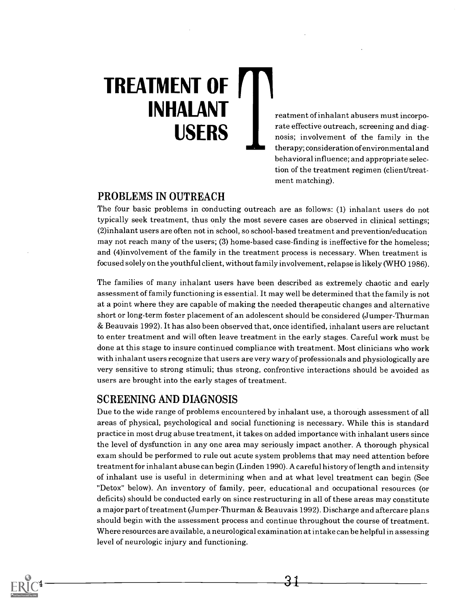## TREATMENT OF INHALANT USERS

reatment of inhalant abusers must incorporate effective outreach, screening and diagnosis; involvement of the family in the therapy; consideration of environmental and behavioral influence; and appropriate selection of the treatment regimen (client/treatment matching).

#### PROBLEMS IN OUTREACH

The four basic problems in conducting outreach are as follows: (1) inhalant users do not typically seek treatment, thus only the most severe cases are observed in clinical settings; (2)inhalant users are often not in school, so school-based treatment and prevention/education may not reach many of the users; (3) home-based case-finding is ineffective for the homeless; and (4)involvement of the family in the treatment process is necessary. When treatment is focused solely on the youthful client, without family involvement, relapse is likely (WHO 1986).

The families of many inhalant users have been described as extremely chaotic and early assessment of family functioning is essential. It may well be determined that the family is not at a point where they are capable of making the needed therapeutic changes and alternative short or long-term foster placement of an adolescent should be considered (Jumper-Thurman & Beauvais 1992). It has also been observed that, once identified, inhalant users are reluctant to enter treatment and will often leave treatment in the early stages. Careful work must be done at this stage to insure continued compliance with treatment. Most clinicians who work with inhalant users recognize that users are very wary of professionals and physiologically are very sensitive to strong stimuli; thus strong, confrontive interactions should be avoided as users are brought into the early stages of treatment.

#### SCREENING AND DIAGNOSIS

 $\sim$  4  $\sim$ 

Due to the wide range of problems encountered by inhalant use, a thorough assessment of all areas of physical, psychological and social functioning is necessary. While this is standard practice in most drug abuse treatment, it takes on added importance with inhalant users since the level of dysfunction in any one area may seriously impact another. A thorough physical exam should be performed to rule out acute system problems that may need attention before treatment for inhalant abuse can begin (Linden 1990). A careful history of length and intensity of inhalant use is useful in determining when and at what level treatment can begin (See "Detox" below). An inventory of family, peer, educational and occupational resources (or deficits) should be conducted early on since restructuring in all of these areas may constitute a major part of treatment (Jumper-Thurman & Beauvais 1992). Discharge and aftercare plans should begin with the assessment process and continue throughout the course of treatment. Where resources are available, a neurological examination at intake can be helpful in assessing level of neurologic injury and functioning.

31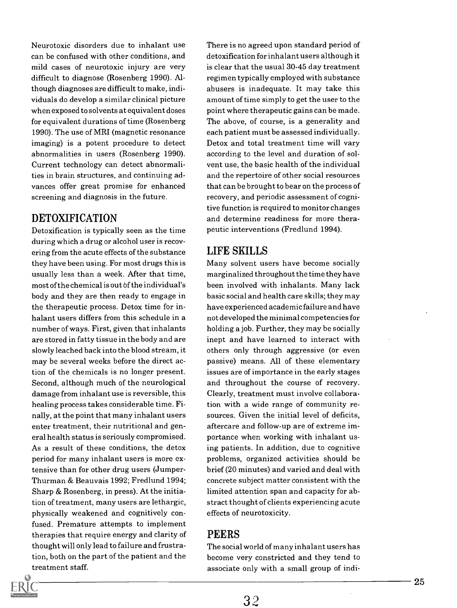Neurotoxic disorders due to inhalant use can be confused with other conditions, and mild cases of neurotoxic injury are very difficult to diagnose (Rosenberg 1990). Although diagnoses are difficult to make, individuals do develop a similar clinical picture when exposed to solvents at equivalent doses for equivalent durations of time (Rosenberg 1990). The use of MRI (magnetic resonance imaging) is a potent procedure to detect abnormalities in users (Rosenberg 1990). Current technology can detect abnormalities in brain structures, and continuing advances offer great promise for enhanced screening and diagnosis in the future.

#### DETOXIFICATION

Detoxification is typically seen as the time during which a drug or alcohol user is recovering from the acute effects of the substance they have been using. For most drugs this is usually less than a week. After that time, most of the chemical is out of the individual's body and they are then ready to engage in the therapeutic process. Detox time for inhalant users differs from this schedule in a number of ways. First, given that inhalants are stored in fatty tissue in the body and are slowly leached back into the blood stream, it may be several weeks before the direct action of the chemicals is no longer present. Second, although much of the neurological damage from inhalant use is reversible, this healing process takes considerable time. Finally, at the point that many inhalant users enter treatment, their nutritional and general health status is seriously compromised. As a result of these conditions, the detox period for many inhalant users is more extensive than for other drug users (Jumper-Thurman & Beauvais 1992; Fredlund 1994; Sharp & Rosenberg, in press). At the initiation of treatment, many users are lethargic, physically weakened and cognitively confused. Premature attempts to implement therapies that require energy and clarity of thought will only lead to failure and frustration, both on the part of the patient and the treatment staff.

There is no agreed upon standard period of detoxification for inhalant users although it is clear that the usual 30-45 day treatment regimen typically employed with substance abusers is inadequate. It may take this amount of time simply to get the user to the point where therapeutic gains can be made. The above, of course, is a generality and each patient must be assessed individually. Detox and total treatment time will vary according to the level and duration of solvent use, the basic health of the individual and the repertoire of other social resources that can be brought to bear on the process of recovery, and periodic assessment of cognitive function is required to monitor changes and determine readiness for more therapeutic interventions (Fredlund 1994).

#### LIFE SKILLS

Many solvent users have become socially marginalized throughout the time they have been involved with inhalants. Many lack basic social and health care skills; they may have experienced academic failure and have not developed the minimal competencies for holding a job. Further, they may be socially inept and have learned to interact with others only through aggressive (or even passive) means. All of these elementary issues are of importance in the early stages and throughout the course of recovery. Clearly, treatment must involve collaboration with a wide range of community resources. Given the initial level of deficits, aftercare and follow-up are of extreme importance when working with inhalant using patients. In addition, due to cognitive problems, organized activities should be brief (20 minutes) and varied and deal with concrete subject matter consistent with the limited attention span and capacity for abstract thought of clients experiencing acute effects of neurotoxicity.

#### PEERS

The social world of many inhalant users has become very constricted and they tend to associate only with a small group of indi-

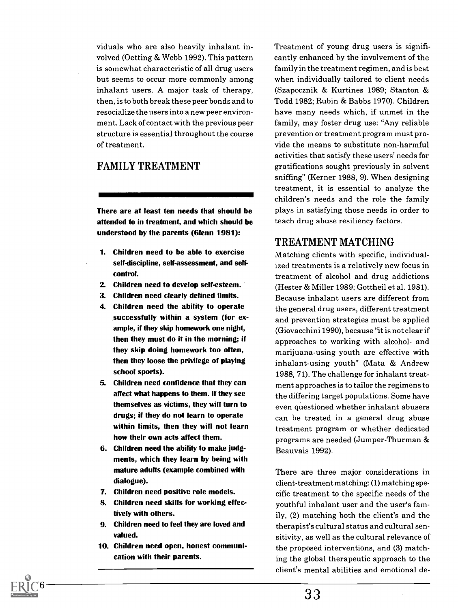viduals who are also heavily inhalant involved (Oetting & Webb 1992). This pattern is somewhat characteristic of all drug users but seems to occur more commonly among inhalant users. A major task of therapy, then, is to both break these peer bonds and to resocialize the users into a new peer environment. Lack of contact with the previous peer structure is essential throughout the course of treatment.

#### FAMILY TREATMENT

There are at least ten needs that should be attended to in treatment, and which should be understood by the parents (Glenn 1981):

- 1. Children need to be able to exercise setf-discipline, self-assessment, and selfcontrol.
- 2. Children need to develop self-esteem.
- 3. Children need clearly defined limits.
- 4. Children need the ability to operate successfully within a system (for example, if they skip homework one night, then they must do it in the morning; if they skip doing homework too often, then they loose the privilege of playing school sports).
- 5. Children need confidence that they can affect what happens to them. If they see themselves as victims, they will turn to drugs; if they do not learn to operate within limits, then they will not learn how their own acts affect them.
- 6. Children need the ability to make judgments, which they learn by being with mature adults (example combined with dialogue).
- 7. Children need positive role models.
- 8. Children need skills for working effectively with others.
- 9. Children need to feel they are loved and valued.
- 10. Children need open, honest communication with their parents.

Treatment of young drug users is significantly enhanced by the involvement of the family in the treatment regimen, and is best when individually tailored to client needs (Szapocznik & Kurtines 1989; Stanton & Todd 1982; Rubin & Babbs 1970). Children have many needs which, if unmet in the family, may foster drug use: "Any reliable prevention or treatment program must provide the means to substitute non-harmful activities that satisfy these users' needs for gratifications sought previously in solvent sniffing" (Kerner 1988, 9). When designing treatment, it is essential to analyze the children's needs and the role the family plays in satisfying those needs in order to teach drug abuse resiliency factors.

#### TREATMENT MATCHING

Matching clients with specific, individualized treatments is a relatively new focus in treatment of alcohol and drug addictions (Hester & Miller 1989; Gottheil et al. 1981). Because inhalant users are different from the general drug users, different treatment and prevention strategies must be applied (Giovacchini 1990), because "it is not clear if approaches to working with alcohol- and marijuana-using youth are effective with inhalant-using youth" (Mata & Andrew 1988, 71). The challenge for inhalant treatment approaches is to tailor the regimens to the differing target populations. Some have even questioned whether inhalant abusers can be treated in a general drug abuse treatment program or whether dedicated programs are needed (Jumper-Thurman & Beauvais 1992).

There are three major considerations in client-treatment matching: (1) matching specific treatment to the specific needs of the youthful inhalant user and the user's family, (2) matching both the client's and the therapist's cultural status and cultural sensitivity, as well as the cultural relevance of the proposed interventions, and (3) matching the global therapeutic approach to the client's mental abilities and emotional de-

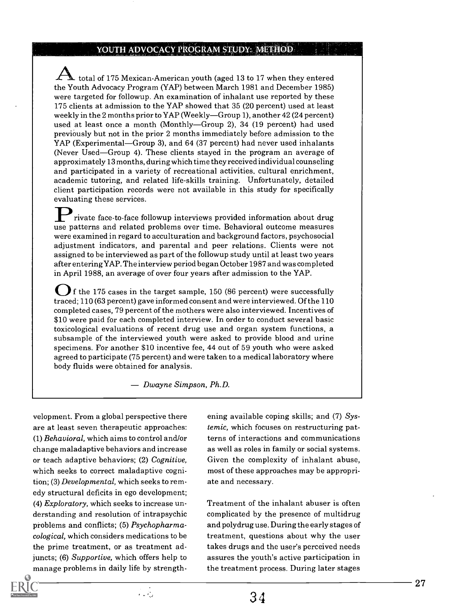#### YOUTH ADVOCACY PROGRAM STUDY: METHOD

total of 175 Mexican-American youth (aged 13 to 17 when they entered the Youth Advocacy Program (YAP) between March 1981 and December 1985) were targeted for followup. An examination of inhalant use reported by these 175 clients at admission to the YAP showed that 35 (20 percent) used at least weekly in the 2 months prior to  $YAP$  (Weekly—Group 1), another 42 (24 percent) used at least once a month (Monthly-Group 2), 34 (19 percent) had used previously but not in the prior 2 months immediately before admission to the YAP (Experimental—Group 3), and 64 (37 percent) had never used inhalants (Never Used—Group 4). These clients stayed in the program an average of approximately 13 months, during which time they received individual counseling and participated in a variety of recreational activities, cultural enrichment, academic tutoring, and related life-skills training. Unfortunately, detailed client participation records were not available in this study for specifically evaluating these services.

rivate face-to-face followup interviews provided information about drug use patterns and related problems over time. Behavioral outcome measures were examined in regard to acculturation and background factors, psychosocial adjustment indicators, and parental and peer relations. Clients were not assigned to be interviewed as part of the followup study until at least two years after entering YAP. The interview period began October 1987 and was completed in April 1988, an average of over four years after admission to the YAP.

If the 175 cases in the target sample, 150 (86 percent) were successfully traced; 110 (63 percent) gave informed consent and were interviewed. Of the 110 completed cases, 79 percent of the mothers were also interviewed. Incentives of \$10 were paid for each completed interview. In order to conduct several basic toxicological evaluations of recent drug use and organ system functions, a subsample of the interviewed youth were asked to provide blood and urine specimens. For another \$10 incentive fee, 44 out of 59 youth who were asked agreed to participate (75 percent) and were taken to a medical laboratory where body fluids were obtained for analysis.

Dwayne Simpson, Ph.D.

velopment. From a global perspective there are at least seven therapeutic approaches: (1) Behavioral, which aims to control and/or change maladaptive behaviors and increase or teach adaptive behaviors; (2) Cognitive, which seeks to correct maladaptive cognition; (3) Developmental, which seeks to remedy structural deficits in ego development; (4) Exploratory, which seeks to increase understanding and resolution of intrapsychic problems and conflicts; (5) Psychopharmacological, which considers medications to be the prime treatment, or as treatment adjuncts; (6) Supportive, which offers help to manage problems in daily life by strengthening available coping skills; and (7) Systemic, which focuses on restructuring patterns of interactions and communications as well as roles in family or social systems. Given the complexity of inhalant abuse, most of these approaches may be appropriate and necessary.

Treatment of the inhalant abuser is often complicated by the presence of multidrug and polydrug use. During the early stages of treatment, questions about why the user takes drugs and the user's perceived needs assures the youth's active participation in the treatment process. During later stages

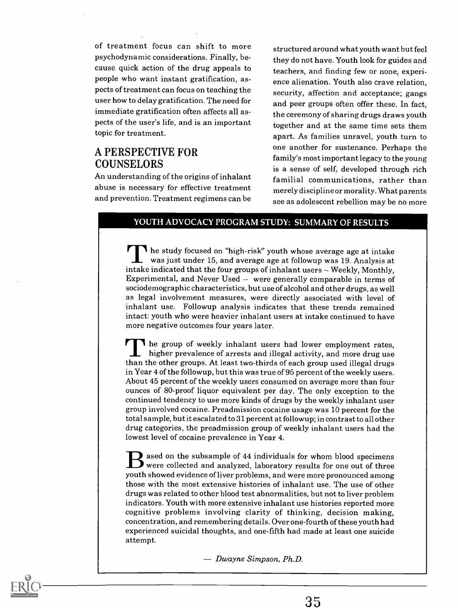of treatment focus can shift to more psychodynamic considerations. Finally, because quick action of the drug appeals to people who want instant gratification, aspects of treatment can focus on teaching the user how to delay gratification. The need for immediate gratification often affects all aspects of the user's life, and is an important topic for treatment.

#### A PERSPECTIVE FOR COUNSELORS

An understanding of the origins of inhalant abuse is necessary for effective treatment and prevention. Treatment regimens can be

structured around what youth want but feel they do not have. Youth look for guides and teachers, and finding few or none, experience alienation. Youth also crave relation, security, affection and acceptance; gangs and peer groups often offer these. In fact, the ceremony of sharing drugs draws youth together and at the same time sets them apart. As families unravel, youth turn to one another for sustenance. Perhaps the family's most important legacy to the young is a sense of self, developed through rich familial communications, rather than merely discipline or morality. What parents see as adolescent rebellion may be no more

#### YOUTH ADVOCACY PROGRAM STUDY: SUMMARY OF RESULTS

The study focused on "high-risk" youth whose average age at intake was just under 15, and average age at followup was 19. Analysis at intake indicated that the four groups of inhalant users -- Weekly, Monthly, Experimental, and Never Used -- were generally comparable in terms of sociodemographic characteristics, but use of alcohol and other drugs, as well as legal involvement measures, were directly associated with level of inhalant use. Followup analysis indicates that these trends remained intact: youth who were heavier inhalant users at intake continued to have more negative outcomes four years later.

The group of weekly inhalant users had lower employment rates, higher prevalence of arrests and illegal activity, and more drug use than the other groups. At least two-thirds of each group used illegal drugs in Year 4 of the followup, but this was true of 95 percent of the weekly users. About 45 percent of the weekly users consumed on average more than four ounces of 80-proof liquor equivalent per day. The only exception to the continued tendency to use more kinds of drugs by the weekly inhalant user group involved cocaine. Preadmission cocaine usage was 10 percent for the total sample, but it escalated to 31 percent at followup; in contrast to all other drug categories, the preadmission group of weekly inhalant users had the lowest level of cocaine prevalence in Year 4.

ased on the subsample of 44 individuals for whom blood specimens  $\mathcal I$  were collected and analyzed, laboratory results for one out of three youth showed evidence of liver problems, and were more pronounced among those with the most extensive histories of inhalant use. The use of other drugs was related to other blood test abnormalities, but not to liver problem indicators. Youth with more extensive inhalant use histories reported more cognitive problems involving clarity of thinking, decision making, concentration, and remembering details. Over one-fourth of these youth had experienced suicidal thoughts, and one-fifth had made at least one suicide attempt.

 $-Dwayne Simpson, Ph.D.$ 

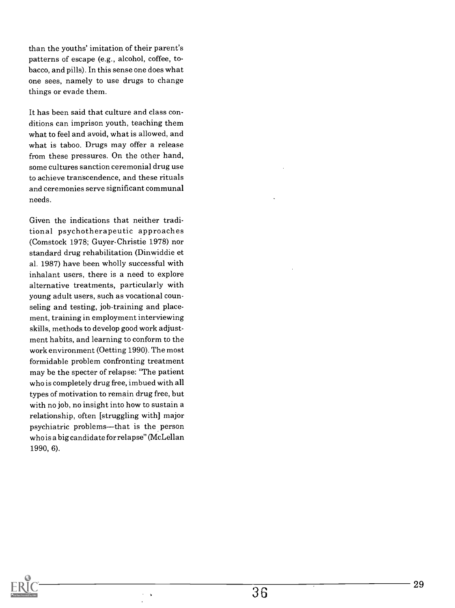than the youths' imitation of their parent's patterns of escape (e.g., alcohol, coffee, tobacco, and pills). In this sense one does what one sees, namely to use drugs to change things or evade them.

It has been said that culture and class conditions can imprison youth, teaching them what to feel and avoid, what is allowed, and what is taboo. Drugs may offer a release from these pressures. On the other hand, some cultures sanction ceremonial drug use to achieve transcendence, and these rituals and ceremonies serve significant communal needs.

Given the indications that neither traditional psychotherapeutic approaches (Comstock 1978; Guyer-Christie 1978) nor standard drug rehabilitation (Dinwiddie et al. 1987) have been wholly successful with inhalant users, there is a need to explore alternative treatments, particularly with young adult users, such as vocational counseling and testing, job-training and placement, training in employment interviewing skills, methods to develop good work adjustment habits, and learning to conform to the work environment (Getting 1990). The most formidable problem confronting treatment may be the specter of relapse: "The patient who is completely drug free, imbued with all types of motivation to remain drug free, but with no job, no insight into how to sustain a relationship, often [struggling with] major psychiatric problems---that is the person who is a big candidate for relapse" (McLellan 1990, 6).

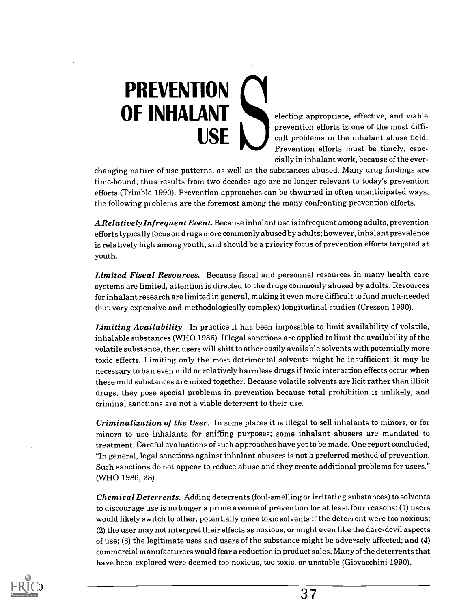## PREVENTION OF INHALANT electing appropriate, effective, and viable **USE**

prevention efforts is one of the most difficult problems in the inhalant abuse field. Prevention efforts must be timely, especially in inhalant work, because of the ever-

changing nature of use patterns, as well as the substances abused. Many drug findings are time-bound, thus results from two decades ago are no longer relevant to today's prevention efforts (Trimble 1990). Prevention approaches can be thwarted in often unanticipated ways; the following problems are the foremost among the many confronting prevention efforts.

A Relatively Infrequent Event. Because inhalant use is infrequent among adults, prevention efforts typically focus on drugs more commonly abused by adults; however, inhalant prevalence is relatively high among youth, and should be a priority focus of prevention efforts targeted at youth.

Limited Fiscal Resources. Because fiscal and personnel resources in many health care systems are limited, attention is directed to the drugs commonly abused by adults. Resources for inhalant research are limited in general, making it even more difficult to fund much-needed (but very expensive and methodologically complex) longitudinal studies (Cresson 1990).

Limiting Availability. In practice it has been impossible to limit availability of volatile, inhalable substances (WHO 1986). If legal sanctions are applied to limit the availability of the volatile substance, then users will shift to other easily available solvents with potentially more toxic effects. Limiting only the most detrimental solvents might be insufficient; it may be necessary to ban even mild or relatively harmless drugs if toxic interaction effects occur when these mild substances are mixed together. Because volatile solvents are licit rather than illicit drugs, they pose special problems in prevention because total prohibition is unlikely, and criminal sanctions are not a viable deterrent to their use.

Criminalization of the User. In some places it is illegal to sell inhalants to minors, or for minors to use inhalants for sniffing purposes; some inhalant abusers are mandated to treatment. Careful evaluations of such approaches have yet to be made. One report concluded, "In general, legal sanctions against inhalant abusers is not a preferred method of prevention. Such sanctions do not appear to reduce abuse and they create additional problems for users." (WHO 1986, 28)

Chemical Deterrents. Adding deterrents (foul-smelling or irritating substances) to solvents to discourage use is no longer a prime avenue of prevention for at least four reasons: (1) users would likely switch to other, potentially more toxic solvents if the deterrent were too noxious; (2) the user may not interpret their effects as noxious, or might even like the dare-devil aspects of use; (3) the legitimate uses and users of the substance might be adversely affected; and (4) commercial manufacturers would fear a reduction in product sales. Many of the deterrents that have been explored were deemed too noxious, too toxic, or unstable (Giovacchini 1990).

 $\bigcirc$ ) —————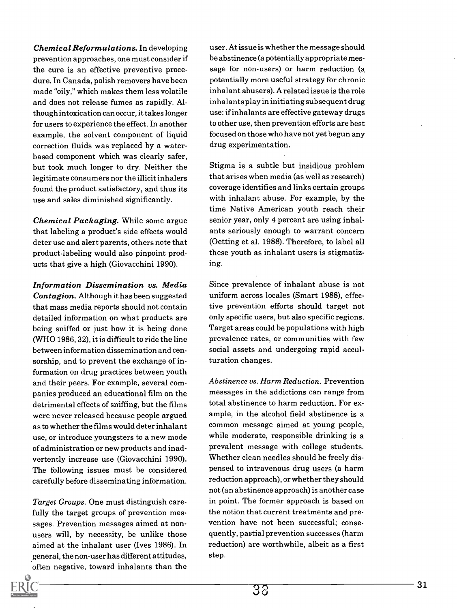Chemical Reformulations. In developing prevention approaches, one must consider if the cure is an effective preventive procedure. In Canada, polish removers have been made "oily," which makes them less volatile and does not release fumes as rapidly. Although intoxication can occur, it takes longer for users to experience the effect. In another example, the solvent component of liquid correction fluids was replaced by a waterbased component which was clearly safer, but took much longer to dry. Neither the legitimate consumers nor the illicit inhalers found the product satisfactory, and thus its use and sales diminished significantly.

Chemical Packaging. While some argue that labeling a product's side effects would deter use and alert parents, others note that product-labeling would also pinpoint products that give a high (Giovacchini 1990).

Information Dissemination vs. Media Contagion. Although it has been suggested that mass media reports should not contain detailed information on what products are being sniffed or just how it is being done (WHO 1986, 32), it is difficult to ride the line between information dissemination and censorship, and to prevent the exchange of information on drug practices between youth and their peers. For example, several companies produced an educational film on the detrimental effects of sniffing, but the films were never released because people argued as to whether the films would deter inhalant use, or introduce youngsters to a new mode of administration or new products and inadvertently increase use (Giovacchini 1990). The following issues must be considered carefully before disseminating information.

Target Groups. One must distinguish carefully the target groups of prevention messages. Prevention messages aimed at nonusers will, by necessity, be unlike those aimed at the inhalant user (Ives 1986). In general, the non-user has different attitudes, often negative, toward inhalants than the

user. At issue is whether the message should be abstinence (a potentially appropriate message for non-users) or harm reduction (a potentially more useful strategy for chronic inhalant abusers). A related issue is the role inhalants play in initiating subsequent drug use: if inhalants are effective gateway drugs to other use, then prevention efforts are best focused on those who have not yet begun any drug experimentation.

Stigma is a subtle but insidious problem that arises when media (as well as research) coverage identifies and links certain groups with inhalant abuse. For example, by the time Native American youth reach their senior year, only 4 percent are using inhalants seriously enough to warrant concern (Oetting et al. 1988). Therefore, to label all these youth as inhalant users is stigmatizing.

Since prevalence of inhalant abuse is not uniform across locales (Smart 1988), effective prevention efforts should target not only specific users, but also specific regions. Target areas could be populations with high prevalence rates, or communities with few social assets and undergoing rapid acculturation changes.

Abstinence vs. Harm Reduction. Prevention messages in the addictions can range from total abstinence to harm reduction. For example, in the alcohol field abstinence is a common message aimed at young people, while moderate, responsible drinking is a prevalent message with college students. Whether clean needles should be freely dispensed to intravenous drug users (a harm reduction approach), or whether they should not (an abstinence approach) is another case in point. The former approach is based on the notion that current treatments and prevention have not been successful; consequently, partial prevention successes (harm reduction) are worthwhile, albeit as a first step.

31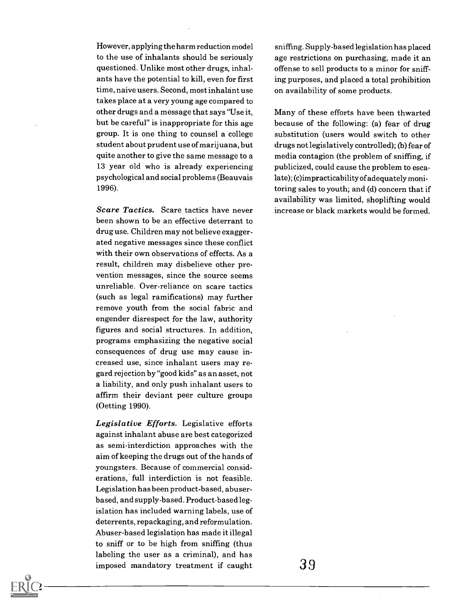However, applying the harm reduction model to the use of inhalants should be seriously questioned. Unlike most other drugs, inhalants have the potential to kill, even for first time, naive users. Second, most inhalant use takes place at a very young age compared to other drugs and a message that says "Use it, but be careful" is inappropriate for this age group. It is one thing to counsel a college student about prudent use of marijuana, but quite another to give the same message to a 13 year old who is already experiencing psychological and social problems (Beauvais 1996).

Scare Tactics. Scare tactics have never been shown to be an effective deterrant to drug use. Children may not believe exaggerated negative messages since these conflict with their own observations of effects. As a result, childreh may disbelieve other prevention messages, since the source seems unreliable. Over-reliance on scare tactics (such as legal ramifications) may further remove youth from the social fabric and engender disrespect for the law, authority figures and social structures. In addition, programs emphasizing the negative social consequences of drug use may cause increased use, since inhalant users may regard rejection by "good kids" as an asset, not a liability, and only push inhalant users to affirm their deviant peer culture groups (Oetting 1990).

Legislative Efforts. Legislative efforts against inhalant abuse are best categorized as semi-interdiction approaches with the aim of keeping the drugs out of the hands of youngsters. Because of commercial considerations,' full interdiction is not feasible. Legislation has been product-based, abuserbased, and supply-based. Product-based legislation has included warning labels, use of deterrents, repackaging, and reformulation. Abuser-based legislation has made it illegal to sniff or to be high from sniffing (thus labeling the user as a criminal), and has imposed mandatory treatment if caught

sniffing. Supply-based legislation has placed age restrictions on purchasing, made it an offense to sell products to a minor for sniffing purposes, and placed a total prohibition on availability of some products.

Many of these efforts have been thwarted because of the following: (a) fear of drug substitution (users would switch to other drugs not legislatively controlled); (b) fear of media contagion (the problem of sniffing, if publicized, could cause the problem to escalate); (c)impracticability of adequately monitoring sales to youth; and (d) concern that if availability was limited, shoplifting would increase or black markets would be formed.

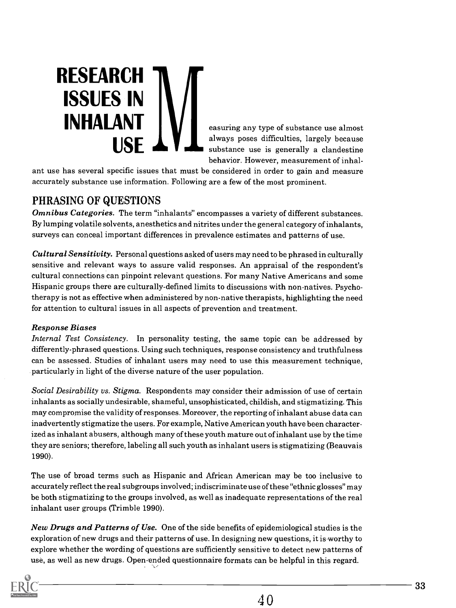RESEARCH ISSUES IN  $\textbf{INHALANT}$   $\parallel$   $\parallel$   $\parallel$   $\parallel$  easuring any type of substance use almost **USF** 

always poses difficulties, largely because substance use is generally a clandestine behavior. However, measurement of inhal-

ant use has several specific issues that must be considered in order to gain and measure accurately substance use information. Following are a few of the most prominent.

#### PHRASING OF QUESTIONS

Omnibus Categories. The term "inhalants" encompasses a variety of different substances. By lumping volatile solvents, anesthetics and nitrites under the general category of inhalants, surveys can conceal important differences in prevalence estimates and patterns of use.

Cultural Sensitivity. Personal questions asked of users may need to be phrased in culturally sensitive and relevant ways to assure valid responses. An appraisal of the respondent's cultural connections can pinpoint relevant questions. For many Native Americans and some Hispanic groups there are culturally-defined limits to discussions with non-natives. Psychotherapy is not as effective when administered by non-native therapists, highlighting the need for attention to cultural issues in all aspects of prevention and treatment.

#### Response Biases

Internal Test Consistency. In personality testing, the same topic can be addressed by differently-phrased questions. Using such techniques, response consistency and truthfulness can be assessed. Studies of inhalant users may need to use this measurement technique, particularly in light of the diverse nature of the user population.

Social Desirability vs. Stigma. Respondents may consider their admission of use of certain inhalants as socially undesirable, shameful, unsophisticated, childish, and stigmatizing. This may compromise the validity of responses. Moreover, the reporting of inhalant abuse data can inadvertently stigmatize the users. For example, Native American youth have been characterized as inhalant abusers, although many of these youth mature out of inhalant use by the time they are seniors; therefore, labeling all such youth as inhalant users is stigmatizing (Beauvais 1990).

The use of broad terms such as Hispanic and African American may be too inclusive to accurately reflect the real subgroups involved; indiscriminate use of these "ethnic glosses" may be both stigmatizing to the groups involved, as well as inadequate representations of the real inhalant user groups (Trimble 1990).

New Drugs and Patterns of Use. One of the side benefits of epidemiological studies is the exploration of new drugs and their patterns of use. In designing new questions, it is worthy to explore whether the wording of questions are sufficiently sensitive to detect new patterns of use, as well as new drugs. Open-ended questionnaire formats can be helpful in this regard.

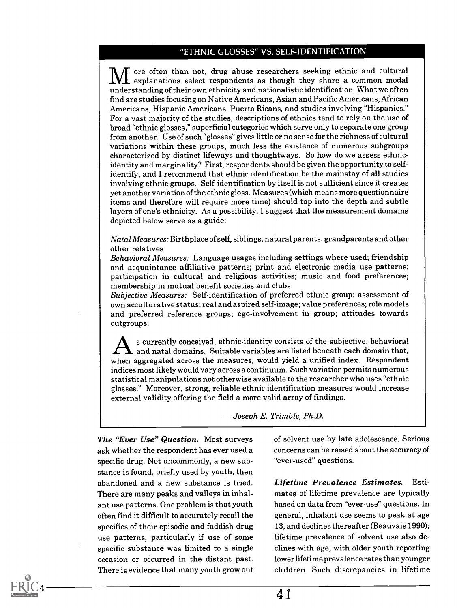#### "ETHNIC GLOSSES" VS. SELF-IDENTIFICATION

ore often than not, drug abuse researchers seeking ethnic and cultural explanations select respondents as though they share a common modal understanding of their own ethnicity and nationalistic identification. What we often find are studies focusing on Native Americans, Asian and Pacific Americans, African Americans, Hispanic Americans, Puerto Ricans, and studies involving "Hispanics." For a vast majority of the studies, descriptions of ethnics tend to rely on the use of broad "ethnic glosses," superficial categories which serve only to separate one group from another. Use of such "glosses" gives little or no sense for the richness of cultural variations within these groups, much less the existence of numerous subgroups characterized by distinct lifeways and thoughtways. So how do we assess ethnicidentity and marginality? First, respondents should be given the opportunity to selfidentify, and I recommend that ethnic identification be the mainstay of all studies involving ethnic groups. Self-identification by itself is not sufficient since it creates yet another variation of the ethnic gloss. Measures (which means more questionnaire items and therefore will require more time) should tap into the depth and subtle layers of one's ethnicity. As a possibility, I suggest that the measurement domains depicted below serve as a guide:

Natal Measures: Birthplace of self, siblings, natural parents, grandparents and other other relatives

Behavioral Measures: Language usages including settings where used; friendship and acquaintance affiliative patterns; print and electronic media use patterns; participation in cultural and religious activities; music and food preferences; membership in mutual benefit societies and clubs

Subjective Measures: Self-identification of preferred ethnic group; assessment of own acculturative status; real and aspired self-image; value preferences; role models and preferred reference groups; ego-involvement in group; attitudes towards outgroups.

s currently conceived, ethnic-identity consists of the subjective, behavioral and natal domains. Suitable variables are listed beneath each domain that, when aggregated across the measures, would yield a unified index. Respondent indices most likely would vary across a continuum. Such variation permits numerous statistical manipulations not otherwise available to the researcher who uses "ethnic glosses." Moreover, strong, reliable ethnic identification measures would increase external validity offering the field a more valid array of findings.

Joseph E. Trimble, Ph.D.

The "Ever Use" Question. Most surveys ask whether the respondent has ever used a specific drug. Not uncommonly, a new substance is found, briefly used by youth, then abandoned and a new substance is tried. There are many peaks and valleys in inhalant use patterns. One problem is that youth often find it difficult to accurately recall the specifics of their episodic and faddish drug use patterns, particularly if use of some specific substance was limited to a single occasion or occurred in the distant past. There is evidence that many youth grow out

34

of solvent use by late adolescence. Serious concerns can be raised about the accuracy of "ever-used" questions.

Lifetime Prevalence Estimates. Estimates of lifetime prevalence are typically based on data from "ever-use" questions. In general, inhalant use seems to peak at age 13, and declines thereafter (Beauvais 1990); lifetime prevalence of solvent use also declines with age, with older youth reporting lower lifetime prevalence rates than younger children. Such discrepancies in lifetime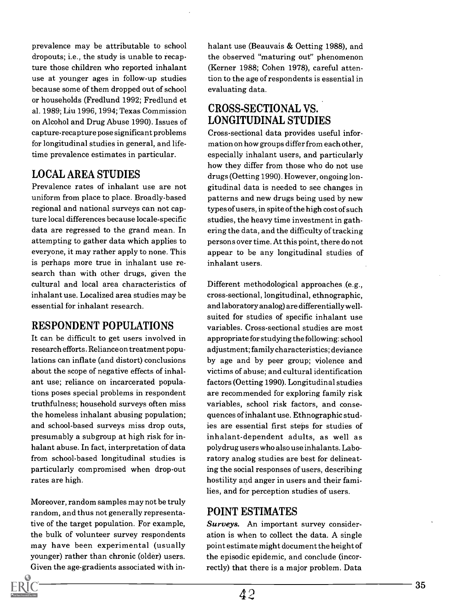prevalence may be attributable to school dropouts; i.e., the study is unable to recapture those children who reported inhalant use at younger ages in follow-up studies because some of them dropped out of school or households (Fredlund 1992; Fredlund et al. 1989; Liu 1996, 1994; Texas Commission on Alcohol and Drug Abuse 1990). Issues of capture-recapture pose significant problems for longitudinal studies in general, and lifetime prevalence estimates in particular.

#### LOCAL AREA STUDIES

Prevalence rates of inhalant use are not uniform from place to place. Broadly-based regional and national surveys can not capture local differences because locale-specific data are regressed to the grand mean. In attempting to gather data which applies to everyone, it may rather apply to none. This is perhaps more true in inhalant use research than with other drugs, given the cultural and local area characteristics of inhalant use. Localized area studies may be essential for inhalant research.

#### RESPONDENT POPULATIONS

It can be difficult to get users involved in research efforts. Reliance on treatment populations can inflate (and distort) conclusions about the scope of negative effects of inhalant use; reliance on incarcerated populations poses special problems in respondent truthfulness; household surveys often miss the homeless inhalant abusing population; and school-based surveys miss drop outs, presumably a subgroup at high risk for inhalant abuse. In fact, interpretation of data from school-based longitudinal studies is particularly compromised when drop-out rates are high.

Moreover, random samples may not be truly random, and thus not generally representative of the target population. For example, the bulk of volunteer survey respondents may have been experimental (usually younger) rather than chronic (older) users. Given the age-gradients associated with inhalant use (Beauvais & Oetting 1988), and the observed "maturing out" phenomenon (Kerner 1988; Cohen 1978), careful attention to the age of respondents is essential in evaluating data.

#### CROSS-SECTIONAL VS. LONGITUDINAL STUDIES

Cross-sectional data provides useful information on how groups differ from each other, especially inhalant users, and particularly how they differ from those who do not use drugs (Oetting 1990). However, ongoing longitudinal data is needed to see changes in patterns and new drugs being used by new types of users, in spite of the high cost of such studies, the heavy time investment in gathering the data, and the difficulty of tracking persons over time. At this point, there do not appear to be any longitudinal studies of inhalant users.

Different methodological approaches (e.g., cross-sectional, longitudinal, ethnographic, and laboratory analog) are differentially wellsuited for studies of specific inhalant use variables. Cross-sectional studies are most appropriate for studying the following: school adjustment; family characteristics; deviance by age and by peer group; violence and victims of abuse; and cultural identification factors (Oetting 1990). Longitudinal studies are recommended for exploring family risk variables, school risk factors, and consequences of inhalant use. Ethnographic studies are essential first steps for studies of inhalant-dependent adults, as well as polydrug users who also use inhalants. Laboratory analog studies are best for delineating the social responses of users, describing hostility and anger in users and their families, and for perception studies of users.

#### POINT ESTIMATES

Surveys. An important survey consideration is when to collect the data. A single point estimate might document the height of the episodic epidemic, and conclude (incorrectly) that there is a major problem. Data

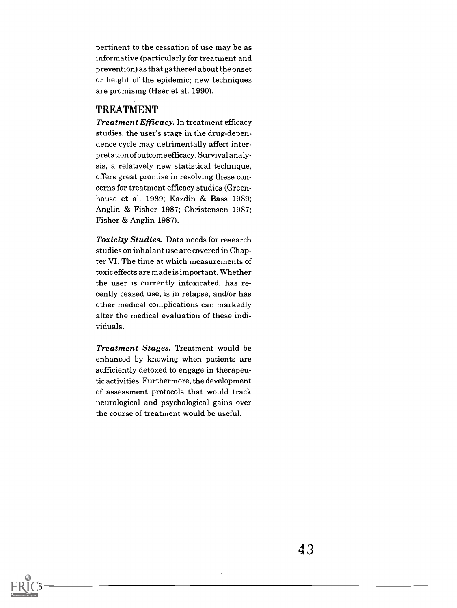pertinent to the cessation of use may be as informative (particularly for treatment and prevention) as that gathered about the onset or height of the epidemic; new techniques are promising (Hser et al. 1990).

#### TREATMENT

Treatment Efficacy. In treatment efficacy studies, the user's stage in the drug-dependence cycle may detrimentally affect interpretation of outcome efficacy. Survival analysis, a relatively new statistical technique, offers great promise in resolving these concerns for treatment efficacy studies (Greenhouse et al. 1989; Kazdin & Bass 1989; Anglin & Fisher 1987; Christensen 1987; Fisher & Anglin 1987).

Toxicity Studies. Data needs for research studies on inhalant use are covered in Chapter VI. The time at which measurements of toxic effects are made is important. Whether the user is currently intoxicated, has recently ceased use, is in relapse, and/or has other medical complications can markedly alter the medical evaluation of these individuals.

Treatment Stages. Treatment would be enhanced by knowing when patients are sufficiently detoxed to engage in therapeutic activities. Furthermore, the development of assessment protocols that would track neurological and psychological gains over the course of treatment would be useful.

 $\bigcirc$ 3 —

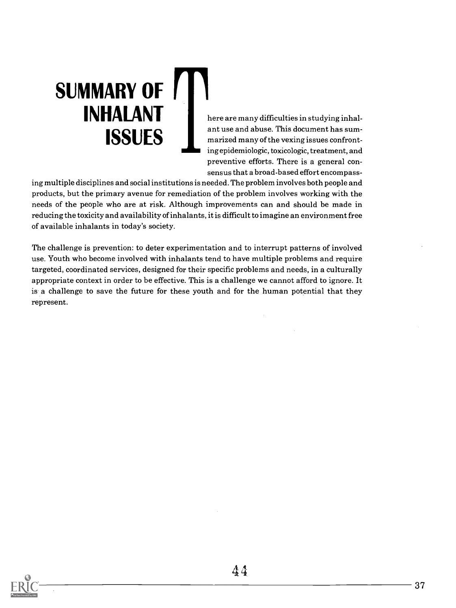here are many difficulties in studying inhalant use and abuse. This document has summarized many of the vexing issues confronting epidemiologic, toxicologic, treatment, and preventive efforts. There is a general consensus that a broad-based effort encompass-

ing multiple disciplines and social institutions is needed. The problem involves both people and products, but the primary avenue for remediation of the problem involves working with the needs of the people who are at risk. Although improvements can and should be made in reducing the toxicity and availability of inhalants, it is difficult to imagine an environment free of available inhalants in today's society.

SUMMARY OF

INHALANT

ISSUES

The challenge is prevention: to deter experimentation and to interrupt patterns of involved use. Youth who become involved with inhalants tend to have multiple problems and require targeted, coordinated services, designed for their specific problems and needs, in a culturally appropriate context in order to be effective. This is a challenge we cannot afford to ignore. It is a challenge to save the future for these youth and for the human potential that they represent.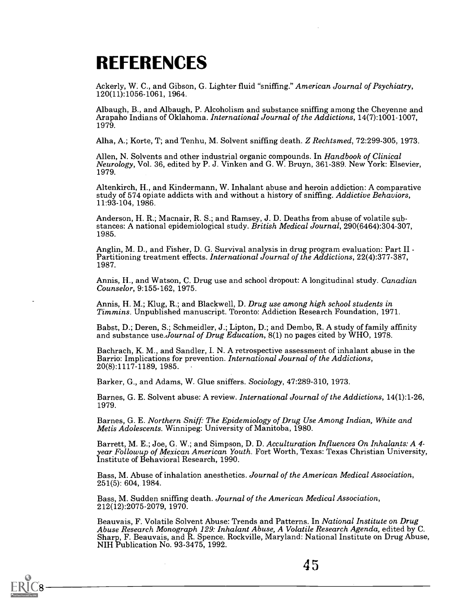### REFERENCES

Ackerly, W. C., and Gibson, G. Lighter fluid "sniffing." American Journal of Psychiatry, 120(11):1056-1061, 1964.

Albaugh, B., and Albaugh, P. Alcoholism and substance sniffing among the Cheyenne and<br>Arapaho Indians of Oklahoma. *International Journal of the Addictions*, 14(7):1001-1007, 1979.

Alha, A.; Korte, T; and Tenhu, M. Solvent sniffing death. Z Rechtsmed, 72:299-305, 1973.

Allen, N. Solvents and other industrial organic compounds. In Handbook of Clinical<br>Neurology, Vol. 36, edited by P. J. Vinken and G. W. Bruyn, 361-389. New York: Elsevier, 1979.

Altenkirch, H., and Kindermann, W. Inhalant abuse and heroin addiction: A comparative study of 574 opiate addicts with and without a history of sniffing. Addictive Behaviors, 11:93-104, 1986.

Anderson, H. R.; Macnair, R. S.; and Ramsey, J. D. Deaths from abuse of volatile sub-<br>stances: A national epidemiological study. British Medical Journal, 290(6464):304-307, 1985.

Anglin, M. D., and Fisher, D. G. Survival analysis in drug program evaluation: Part II - Partitioning treatment effects. *International Journal of the Addictions*, 22(4):377-387, 1987.

Annis, H., and Watson, C. Drug use and school dropout: A longitudinal study. Canadian Counselor, 9:155-162, 1975.

Annis, H. M.; Klug, R.; and Blackwell, D. *Drug use among high school students in* Timmins. Unpublished manuscript. Toronto: Addiction Research Foundation, 1971.

Babst, D.; Deren, S.; Schmeidler, J.; Lipton, D.; and Dembo, R. A study of family affinity and substance use.Journal of Drug Education, 8(1) no pages cited by WHO, 1978.

Bachrach, K. M., and Sandler, I. N. A retrospective assessment of inhalant abuse in the Barrio: Implications for prevention. *International Journal of the Addictions*, 20(8):1117-1189, 1985. -

Barker, G., and Adams, W. Glue sniffers. Sociology, 47:289-310, 1973.

Barnes, G. E. Solvent abuse: A review. International Journal of the Addictions, 14(1):1-26, 1979.

Barnes, G. E. Northern Sniff: The Epidemiology of Drug Use Among Indian, White and Metis Adolescents. Winnipeg: University of Manitoba, 1980.

Barrett, M. E.; Joe, G. W.; and Simpson, D. D. Acculturation Influences On Inhalants: A 4-<br>year Followup of Mexican American Youth. Fort Worth, Texas: Texas Christian University,<br>Institute of Behavioral Research, 1990.

Bass, M. Abuse of inhalation anesthetics. Journal of the American Medical Association, 251(5): 604, 1984.

Bass, M. Sudden sniffing death. Journal of the American Medical Association, 212(12):2075-2079, 1970.

38

Beauvais, F. Volatile Solvent Abuse: Trends and Patterns. In National Institute on Drug<br>Abuse Research Monograph 129: Inhalant Abuse, A Volatile Research Agenda, edited by C.<br>Sharp, F. Beauvais, and R. Spence. Rockville, M

4 5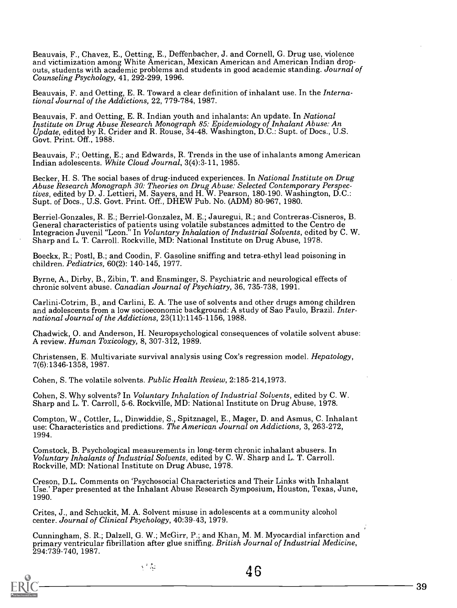Beauvais, F., Chavez, E., Oetting, E., Deffenbacher, J. and Cornell, G. Drug use, violence<br>and victimization among White American, Mexican American and American Indian dropouts, students with academic problems and students in good academic standing. Journal of Counseling Psychology, 41, 292-299, 1996.

Beauvais, F. and Oetting, E. R. Toward a clear definition of inhalant use. In the International Journal of the Addictions, 22, 779-784, 1987.

Beauvais, F. and Oetting, E. R. Indian youth and inhalants: An update. In National<br>Institute on Drug Abuse Research Monograph 85: Epidemiology of Inhalant Abuse: An<br>Update, edited by R. Crider and R. Rouse, 34-48. Washingt Govt. Print. Off., 1988.

Beauvais, F.; Oetting, E.; and Edwards, R. Trends in the use of inhalants among American Indian adolescents. White Cloud Journal, 3(4):3-11, 1985.

Becker, H. S. The social bases of drug-induced experiences. In *National Institute on Drug*<br>Abuse Research Monograph 30: Theories on Drug Abuse: Selected Contemporary Perspectives, edited by D. J. Lettieri, M. Sayers, and H. W. Pearson, 180-190. Washington, D.C.: Supt. of Docs., U.S. Govt. Print. Off., DHEW Pub. No. (ADM) 80-967, 1980.

Berriel-Gonzales, R. E.; Berriel-Gonzalez, M. E.; Jauregui, R.; and Contreras-Cisneros, B.<br>General characteristics of patients using volatile substances admitted to the Centro de Integracion Juvenil "Leon." In Voluntary Inhalation of Industrial Solvents, edited by C. W. Sharp and L. T. Carroll. Rockville, MD: National Institute on Drug Abuse, 1978.

Boeckx, R.; Postl, B.; and Coodin, F. Gasoline sniffing and tetra-ethyl lead poisoning in children. Pediatrics, 60(2): 140-145, 1977.

Byrne, A., Dirby, B., Zibin, T. and Ensminger, S. Psychiatric and neurological effects of chronic solvent abuse. Canadian Journal of Psychiatry, 36, 735-738, 1991.

Carlini-Cotrim, B., and Carlini, E. A. The use of solvents and other drugs among children and adolescents from a low socioeconomic background: A study of Sao Paulo, Brazil. Inter-<br>national Journal of the Addictions, 23(11):1145-1156, 1988.

Chadwick, 0. and Anderson, H. Neuropsychological consequences of volatile solvent abuse: A review. Human Toxicology, 8, 307-312, 1989.

Christensen, E. Multivariate survival analysis using Cox's regression model. Hepatology, 7(6):1346-1358, 1987.

Cohen, S. The volatile solvents. Public Health Review, 2:185-214,1973.

Cohen, S. Why solvents? In Voluntary Inhalation of Industrial Solvents, edited by C. W. Sharp and L. T. Carroll, 5-6. Rockville, MD: National Institute on Drug Abuse, 1978.

Compton, W., Cottler, L., Dinwiddie, S., Spitznagel, E., Mager, D. and Asmus, C. Inhalant use: Characteristics and predictions. The American Journal on Addictions, 3, 263-272, 1994.

Comstock, B. Psychological measurements in long-term chronic inhalant abusers. In Voluntary Inhalants of Industrial Solvents, edited by C. W. Sharp and L. T. Carroll. Rockville, MD: National Institute on Drug Abuse, 1978.

Creson, D.L. Comments on `Psychosocial Characteristics and Their Links with Inhalant Use.' Paper presented at the Inhalant Abuse Research Symposium, Houston, Texas, June, 1990.

Crites, J., and Schuckit, M. A. Solvent misuse in adolescents at a community alcohol center. Journal of Clinical Psychology, 40:39-43, 1979.

Cunningham, S. R.; Dalzell, G. W.; McGirr, P.; and Khan, M. M. Myocardial infarction and<br>primary ventricular fibrillation after glue sniffing. *British Journal of Industrial Medicine*, 294:739-740, 1987.

v filo

46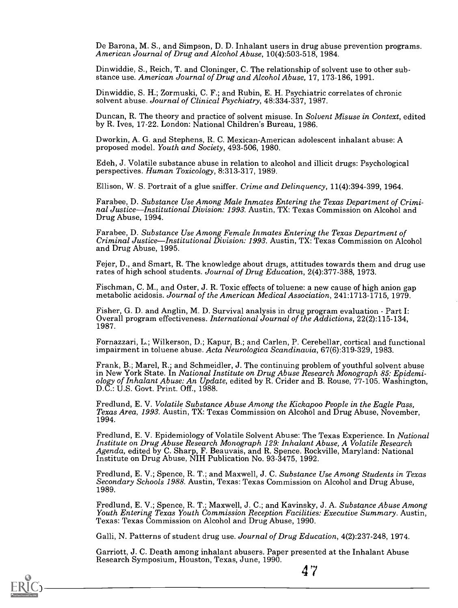De Barona, M. S., and Simpson, D. D. Inhalant users in drug abuse prevention programs.<br>American Journal of Drug and Alcohol Abuse, 10(4):503-518, 1984.

Dinwiddie, S., Reich, T. and Cloninger, C. The relationship of solvent use to other sub-<br>stance use. American Journal of Drug and Alcohol Abuse, 17, 173-186, 1991.

Dinwiddie, S. H.; Zormuski, C. F.; and Rubin, E. H. Psychiatric correlates of chronic solvent abuse. Journal of Clinical Psychiatry, 48:334-337, 1987.

Duncan, R. The theory and practice of solvent misuse. In Solvent Misuse in Context, edited by R. Ives, 17-22. London: National Children's Bureau, 1986.

Dworkin, A. G. and Stephens, R. C. Mexican-American adolescent inhalant abuse: A proposed model. Youth and Society, 493-506, 1980.

Edeh, J. Volatile substance abuse in relation to alcohol and illicit drugs: Psychological perspectives. Human Toxicology, 8:313-317, 1989.

Ellison, W. S. Portrait of a glue sniffer. Crime and Delinquency, 11(4):394-399, 1964.

Farabee, D. Substance Use Among Male Inmates Entering the Texas Department of Criminal Justice—Institutional Division: 1993. Austin, TX: Texas Commission on Alcohol and Drug Abuse, 1994.

Farabee, D. Substance Use Among Female Inmates Entering the Texas Department of Criminal Justice—Institutional Division: 1993. Austin, TX: Texas Commission on Alcohol and Drug Abuse, 1995.

Fejer, D., and Smart, R. The knowledge about drugs, attitudes towards them and drug use rates of high school students. Journal of Drug Education, 2(4):377-388, 1973.

Fischman, C. M., and Oster, J. R. Toxic effects of toluene: a new cause of high anion gap metabolic acidosis. Journal of the American Medical Association, 241:1713-1715, 1979.

Fisher, G. D. and Anglin, M. D. Survival analysis in drug program evaluation - Part I:<br>Overall program effectiveness. International Journal of the Addictions, 22(2):115-134, 1987.

Fornazzari, L.; Wilkerson, D.; Kapur, B.; and Carlen, P. Cerebellar, cortical and functional impairment in toluene abuse. Acta Neurologica Scandinavia, 67(6):319-329, 1983.

Frank, B.; Marel, R.; and Schmeidler, J. The continuing problem of youthful solvent abuse<br>in New York State. In National Institute on Drug Abuse Research Monograph 85: Epidemiology of Inhalant Abuse: An Update, edited by R. Crider and B. Rouse, 77-105. Washington, D.C.: U.S. Govt. Print. Off., 1988.

Fredlund, E. V. *Volatile Substance Abuse Among the Kickapoo People in the Eagle Pass,*<br>*Texas Area, 1993.* Austin, TX: Texas Commission on Alcohol and Drug Abuse, November, 1994.

Fredlund, E. V. Epidemiology of Volatile Solvent Abuse: The Texas Experience. In *National* Institute on Drug Abuse Research Monograph 129: Inhalant Abuse, A Volatile Research Agenda, edited by C. Sharp, F. Beauvais, and R

Fredlund, E. V.; Spence, R. T.; and Maxwell, J. C. Substance Use Among Students in Texas<br>Secondary Schools 1988. Austin, Texas: Texas Commission on Alcohol and Drug Abuse, 1989.

Fredlund, E. V.; Spence, R. T.; Maxwell, J. C.; and Kavinsky, J. A. Substance Abuse Among Youth Entering Texas Youth Commission Reception Facilities: Executive Summary. Austin, Texas Commission on Alcohol and Drug Abuse, 1

4 7

Galli, N. Patterns of student drug use. Journal of Drug Education, 4(2):237-248, 1974.

Garriott, J. C. Death among inhalant abusers. Paper presented at the Inhalant Abuse Research Symposium, Houston, Texas, June, 1990.

 $\cup$ ) $\longrightarrow$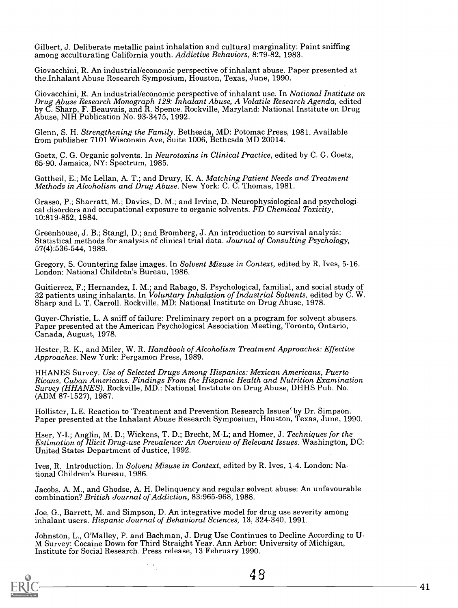Gilbert, J. Deliberate metallic paint inhalation and cultural marginality: Paint sniffing among acculturating California youth. Addictive Behaviors, 8:79-82, 1983.

Giovacchini, R. An industrial/economic perspective of inhalant abuse. Paper presented at the Inhalant Abuse Research Symposium, Houston, Texas, June, 1990.

Giovacchini, R. An industrial/economic perspective of inhalant use. In National Institute on Drug Abuse Research Monograph 129: Inhalant Abuse, A Volatile Research Agenda, edited by C. Sharp, F. Beauvais, and R. Spence. Ro

Glenn, S. H. Strengthening the Family. Bethesda, MD: Potomac Press, 1981. Available from publisher 7101 Wisconsin Ave, Suite 1006, Bethesda MD 20014.

Goetz, C. G. Organic solvents. In Neurotoxins in Clinical Practice, edited by C. G. Goetz, 65-90. Jamaica, NY: Spectrum, 1985.

Gottheil, E.; Mc Lellan, A. T.; and Drury, K. A. Matching Patient Needs and Treatment Methods in Alcoholism and Drug Abuse. New York: C. C. Thomas, 1981.

Grasso, P.; Sharratt, M.; Davies, D. M.; and Irvine, D. Neurophysiological and psychological disorders and occupational exposure to organic solvents. FD Chemical Toxicity, 10:819-852, 1984.

Greenhouse, J. B.; Stangl, D.; and Bromberg, J. An introduction to survival analysis:<br>Statistical methods for analysis of clinical trial data. Journal of Consulting Psychology, 57(4):536-544, 1989.

Gregory, S. Countering false images. In Solvent Misuse in Context, edited by R. Ives, 5-16. London: National Children's Bureau, 1986.

Guitierrez, F.; Hernandez, I. M.; and Rabago, S. Psychological, familial, and social study of 32 patients using inhalants. In *Voluntary Inhalation of Industrial Solvents*, edited by C. W.<br>Sharp and L. T. Carroll. Rockvill

Guyer-Christie, L. A sniff of failure: Preliminary report on a program for solvent abusers. Paper presented at the American Psychological Association Meeting, Toronto, Ontario, Canada, August, 1978.

Hester, R. K., and Miler, W. R. Handbook of Alcoholism Treatment Approaches: Effective Approaches. New York: Pergamon Press, 1989.

HHANES Survey. Use of Selected Drugs Among Hispanics: Mexican Americans, Puerto<br>Ricans, Cuban Americans. Findings From the Hispanic Health and Nutrition Examination<br>Survey (HHANES). Rockville, MD.: National Institute on Dr (ADM 87-1527), 1987.

Hollister, L.E. Reaction to 'Treatment and Prevention Research Issues' by Dr. Simpson. Paper presented at the Inhalant Abuse Research Symposium, Houston, Texas, June, 1990.

Hser, Y-I.; Anglin, M. D.; Wickens, T. D.; Brecht, M-L; and Homer, J. Techniques for the Estimation of Illicit Drug-use Prevalence: An Overview of Relevant Issues. Washington, DC: United States Department of Justice, 1992.

Ives, R. Introduction. In Solvent Misuse in Context, edited by R. Ives, 1,-4. London: National Children's Bureau, 1986.

Jacobs, A. M., and Ghodse, A. H. Delinquency and regular solvent abuse: An unfavourable combination? British Journal of Addiction, 83:965-968, 1988.

Joe, G., Barrett, M. and Simpson, D. An integrative model for drug use severity among inhalant users. Hispanic Journal of Behavioral Sciences, 13, 324-340, 1991.

Johnston, L., O'Malley, P. and Bachman, J. Drug Use Continues to Decline According to U-<br>M Survey: Cocaine Down for Third Straight Year. Ann Arbor: University of Michigan,<br>Institute for Social Research. Press release, 13 F

4 8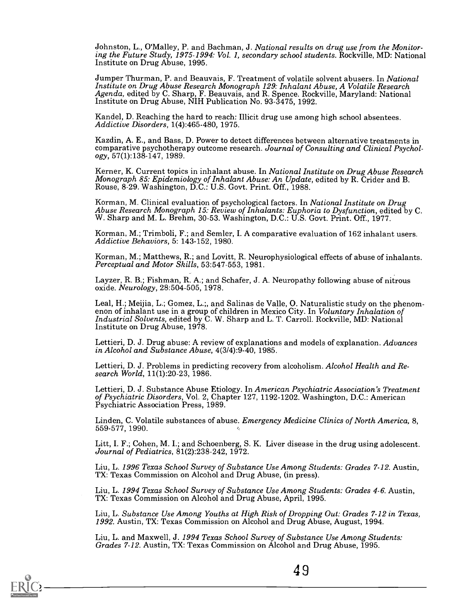Johnston, L., O'Malley, P. and Bachman, J. National results on drug use from the Monitoring the Future Study, 1975-1994: Vol. 1, secondary school students. Rockville, MD: National Institute on Drug Abuse, 1995.

Jumper Thurman, P. and Beauvais, F. Treatment of volatile solvent abusers. In National Institute on Drug Abuse Research Monograph 129: Inhalant Abuse, A Volatile Research Agenda, edited by C. Sharp, F. Beauvais, and R. Spe

Kandel, D. Reaching the hard to reach: Illicit drug use among high school absentees. Addictive Disorders, 1(4):465-480, 1975.

Kazdin, A. E., and Bass, D. Power to detect differences between alternative treatments in comparative psychotherapy outcome research. Journal of Consulting and Clinical Psychol-<br>ogy, 57(1):138-147, 1989.

Kerner, K. Current topics in inhalant abuse. In *National Institute on Drug Abuse Research Monograph 85: Epidemiology of Inhalant Abuse: An Update, edited by R. Crider and B. Rouse, 8-29. Washington, D.C.: U.S. Govt. Print* 

Korman, M. Clinical evaluation of psychological factors. In *National Institute on Drug*<br>*Abuse Research Monograph 15: Review of Inhalants: Euphoria to Dysfunction*, edited by C.<br>W. Sharp and M. L. Brehm, 30-53. Washington

Korman, M.; Trimboli, F.; and Semler, I. A comparative evaluation of 162 inhalant users. Addictive Behaviors, 5: 143-152, 1980.

Korman, M.; Matthews, R.; and Lovitt, R. Neurophysiological effects of abuse of inhalants.<br>Perceptual and Motor Skills, 53:547-553, 1981.

Layzer, R. B.; Fishman, R. A.; and Schafer, J. A. Neuropathy following abuse of nitrous oxide. Neurology, 28:504-505, 1978.

Leal, H.; Meijia, L.; Gomez, L.;, and Salinas de Valle, O. Naturalistic study on the phenom-<br>enon of inhalant use in a group of children in Mexico City. In *Voluntary Inhalation of* Industrial Solvents, edited by C. W. Sharp and L. T. Carroll. Rockville, MD: National Institute on Drug Abuse, 1978.

Lettieri, D. J. Drug abuse: A review of explanations and models of explanation. Advances in Alcohol and Substance Abuse, 4(3/4):9-40, 1985.

Lettieri, D. J. Problems in predicting recovery from alcoholism. Alcohol Health and Re-<br>search World, 11(1):20-23, 1986.

Lettieri, D. J. Substance Abuse Etiology. In American Psychiatric Association's Treatment<br>of Psychiatric Disorders, Vol. 2, Chapter 127, 1192-1202. Washington, D.C.: American<br>Psychiatric Association Press, 1989.

Linden, C. Volatile substances of abuse. Emergency Medicine Clinics of North America, 8, 559-577, 1990.

Litt, I. F.; Cohen, M. I.; and Schoenberg, S. K. Liver disease in the drug using adolescent.<br>Journal of Pediatrics, 81(2):238-242, 1972.

Liu, L. 1996 Texas School Survey of Substance Use Among Students: Grades 7-12. Austin, TX: Texas Commission on Alcohol and Drug Abuse, (in press).

Liu, L. 1994 Texas School Survey of Substance Use Among Students: Grades 4-6. Austin, TX: Texas Commission on Alcohol and Drug Abuse, April, 1995.

Liu, L. Substance Use Among Youths at High Risk of Dropping Out: Grades 7-12 in Texas, 1992. Austin, TX: Texas Commission on Alcohol and Drug Abuse, August, 1994.

4 9

Liu, L. and Maxwell, J. 1994 Texas School Survey of Substance Use Among Students: Grades 7-12. Austin, TX: Texas Commission on Alcohol and Drug Abuse, 1995.

 $C_2$  ——————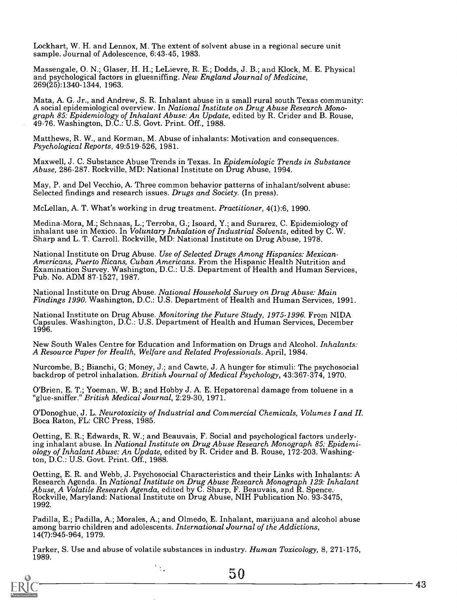Lockhart, W. H. and Lennox, M. The extent of solvent abuse in a regional secure unit sample. Journal of Adolescence, 6:43-45, 1983.

Massengale, O. N.; Glaser, H. H.; LeLievre, R. E.; Dodds, J. B.; and Klock, M. E. Physical and psychological factors in gluesniffing. *New England Journal of Medicine*, 269(25):1340-1344, 1963.

Mata, A. G. Jr., and Andrew, S. R. Inhalant abuse in a small rural south Texas community:<br>A social epidemiological overview. In *National Institute on Drug Abuse Research Monograph 85: Epidemiology of Inhalant Abuse: An Up* 

Matthews, R. W., and Korman, M. Abuse of inhalants: Motivation and consequences.<br>Psychological Reports, 49:519-526, 1981.

Maxwell, J. C. Substance Abuse Trends in Texas. In Epidemiologic Trends in Substance Abuse, 286-287. Rockville, MD: National Institute on Drug Abuse, 1994.

May, P. and Del Vecchio, A. Three common behavior patterns of inhalant/solvent abuse: Selected findings and research issues. Drugs and Society. (In press).

McLellan, A. T. What's working in drug treatment. Practitioner, 4(1):6, 1990.

Medina-Mora, M.; Schnaas, L.; Terroba, G.; Isoard, Y.; and Surarez, C. Epidemiology of inhalant use in Mexico. In *Voluntary Inhalation of Industrial Solvents*, edited by C. W.<br>Sharp and L. T. Carroll. Rockville, MD: National Institute on Drug Abuse, 1978.

National Institute on Drug Abuse. Use of Selected Drugs Among Hispanics: Mexican-<br>Americans, Puerto Ricans, Cuban Americans. From the Hispanic Health Nutrition and<br>Examination Survey. Washington, D.C.: U.S. Department of H

National Institute on Drug Abuse. National Household Survey on Drug Abuse: Main Findings 1990. Washington, D.C.: U.S. Department of Health and Human Services, 1991.

National Institute on Drug Abuse. Monitoring the Future Study, 1975-1996. From NIDA Capsules. Washington, D.C.: U.S. Department of Health and FIuman Services, December 1996.

New South Wales Centre for Education and Information on Drugs and Alcohol. *Inhalants: A Resource Paper for Health, Welfare and Related Professionals.* April, 1984.

Nurcombe, B.; Bianchi, G; Money, J.; and Cawte, J. A hunger for stimuli: The psychosocial backdrop of petrol inhalation. *British Journal of Medical Psychology*, 43:367-374, 1970.

O'Brien, E. T.; Yoeman, W. B.; and Hobby J. A. E. Hepatorenal damage from toluene in a "glue-sniffer." British Medical Journal, 2:29-30, 1971.

O'Donoghue, J. L. Neurotoxicity of Industrial and Commercial Chemicals, Volumes I and II. Boca Raton, FL: CRC Press, 1985.

Oetting, E. R.; Edwards, R. W.; and Beauvais, F. Social and psychological factors underlying inhalant abuse. In National Institute on Drug Abuse Research Monograph 85: Epidemi-<br>ology of Inhalant Abuse: An Update, edited by R. Crider and B. Rouse, 172-203. Washington, D.C.: U.S. Govt. Print. Off., 1988.

Oetting, E. R. and Webb, J. Psychosocial Characteristics and their Links with Inhalants: A Research Agenda. In National Institute on Drug Abuse Research Monograph 129: Inhalant Abuse, A Volatile Research Agenda, edited by C. Sharp, F. Beauvais, and R. Spence.<br>Rockville, Maryland: National Institute on Drug Abuse 1992.

Padilla, E.; Padilla, A.; Morales, A.; and Olmedo, E. Inhalant, marijuana and alcohol abuse among barrio children and adolescents. International Journal of the Addictions, 14(7):945-964, 1979.

Parker, S. Use and abuse of volatile substances in industry. Human Toxicology, 8, 271-175, 1989.

 $\frac{1}{2}$  ,

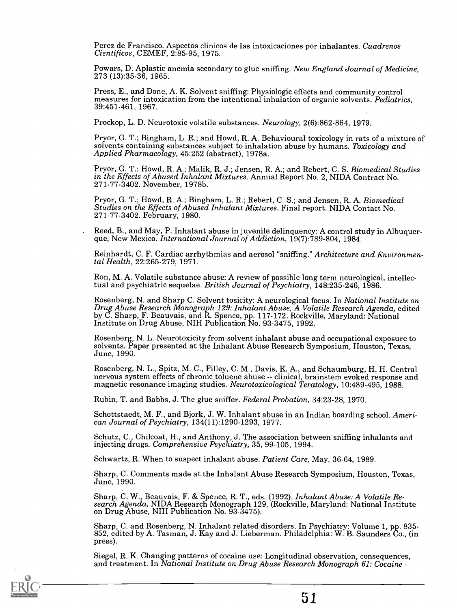Perez de Francisco. Aspectos clinicos de las intoxicaciones por inhalantes. Cuadrenos Cientificos, CEMEF, 2:85-95, 1975.

Powars, D. Aplastic anemia secondary to glue sniffing. New England Journal of Medicine, 273 (13):35-36, 1965.

Press, E., and Done, A. K. Solvent sniffing: Physiologic effects and community control measures for intoxication from the intentional inhalation of organic solvents. Pediatrics, 39:451-461, 1967.

Prockop, L. D. Neurotoxic volatile substances. Neurology, 2(6):862-864, 1979.

Pryor, G. T.; Bingham, L. R.; and Howd, R. A. Behavioural toxicology in rats of a mixture of solvents containing substances subject to inhalation abuse by humans. Toxicology and Applied Pharmacology, 45:252 (abstract), 197

Pryor, G. T.: Howd, R. A.; Malik, R. J.; Jensen, R. A.; and Rebert, C. S. Biomedical Studies in the Effects of Abused Inhalant Mixtures. Annual Report No. 2, NIDA Contract No. 271-77-3402. November, 1978b.

Pryor, G. T.; Howd, R. A.; Bingham, L. R.; Rebert, C. S.; and Jensen, R. A. *Biomedical* Studies on the Effects of Abused Inhalant Mixtures. Final report. NIDA Contact No. 271-77-3402. February, 1980.

Reed, B., and May, P. Inhalant abuse in juvenile delinquency: A control study in Albuquer- que, New Mexico. *International Journal of Addiction*, 19(7):789-804, 1984.

Reinhardt, C. F. Cardiac arrhythmias and aerosol "sniffing." Architecture and Environmental Health, 22:265-279, 1971.

Ron, M. A. Volatile substance abuse: A review of possible long term neurological, intellectual and psychiatric sequelae. British Journal of Psychiatry, 148:235-246, 1986.

Rosenberg, N. and Sharp C. Solvent tosicity: A neurological focus. In National Institute on Drug Abuse Research Monograph 129: Inhalant Abuse, A Volatile Research Agenda, edited by C. Sharp, F. Beauvais, and R. Spence, pp.

Rosenberg, N. L. Neurotoxicity from solvent inhalant abuse and occupational exposure to solvents. Paper presented at the Inhalant Abuse Research Symposium, Houston, Texas, June, 1990.

Rosenberg, N. L., Spitz, M. C., Filley, C. M., Davis, K. A., and Schaumburg, H. H. Central<br>nervous system effects of chronic toluene abuse -- clinical, brainstem evoked response and<br>magnetic resonance imaging studies. Neur

Rubin, T. and Babbs, J. The glue sniffer. Federal Probation, 34:23-28, 1970:

Schottstaedt, M. F., and Bjork, J. W. Inhalant abuse in an Indian boarding school. Ameri- can Journal of Psychiatry, 134(11):1290-1293, 1977.

Schutz, C., Chilcoat, H., and Anthony, J. The association between sniffing inhalants and injecting drugs. Comprehensive Psychiatry, 35, 99-105, 1994.

Schwartz, R. When to suspect inhalant abuse. Patient Care, May, 36-64, 1989.

Sharp, C. Comments made at the Inhalant Abuse Research Symposium, Houston, Texas, June, 1990.

Sharp, C. W., Beauvais, F. & Spence, R. T., eds. (1992). *Inhalant Abuse: A Volatile Re-* search Agenda, NIDA Research Monograph 129, (Rockville, Maryland: National Institute on Drug Abuse, NIH Publication No. 93-3475).

Sharp, C. and Rosenberg, N. Inhalant related disorders. In Psychiatry: Volume 1, pp. 835- 852, edited by A. Tasman, J. Kay and J. Lieberman. Philadelphia: W. B. Saunders Co., (in press).

Siegel, R. K. Changing patterns of cocaine use: Longitudinal observation, consequences, and treatment. In National Institute on Drug Abuse Research Monograph 61: Cocaine -

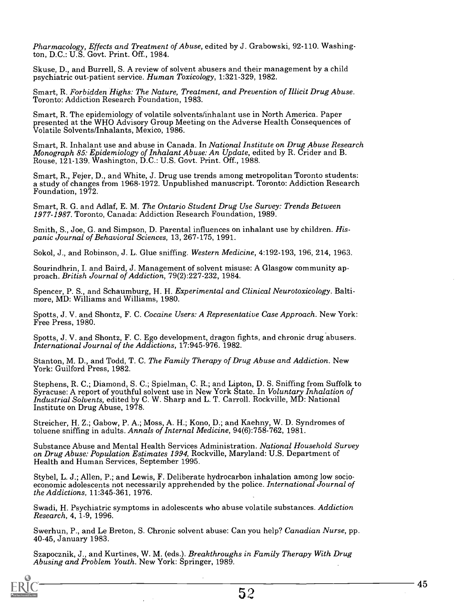Pharmacology, Effects and Treatment of Abuse, edited by J. Grabowski, 92-110. Washington, D.C.: U.S. Govt. Print. Off., 1984.

Skuse, D., and Burrell, S. A review of solvent abusers and their management by a child psychiatric out-patient service. Human Toxicology, 1:321-329, 1982.

Smart, R. Forbidden Highs: The Nature, Treatment, and Prevention of Illicit Drug Abuse. Toronto: Addiction Research Foundation, 1983.

Smart, R. The epidemiology of volatile solvents/inhalant use in North America. Paper presented at the WHO Advisory Group Meeting on the Adverse Health Consequences of Volatile Solvents/Inhalants, Mexico, 1986.

Smart, R. Inhalant use and abuse in Canada. In National Institute on Drug Abuse Research<br>Monograph 85: Epidemiology of Inhalant Abuse: An Update, edited by R. Crider and B.<br>Rouse, 121-139. Washington, D.C.: U.S. Govt. Prin

Smart, R., Fejer, D., and White, J. Drug use trends among metropolitan Toronto students: a study of changes from 1968-1972. Unpublished manuscript. Toronto: Addiction Research Foundation, 1972.

Smart, R. G. and Adlaf, E. M. The Ontario Student Drug Use Survey: Trends Between 1977-1987. Toronto, Canada: Addiction Research Foundation, 1989.

Smith, S., Joe, G. and Simpson, D. Parental influences on inhalant use by children. His-<br>panic Journal of Behavioral Sciences, 13, 267-175, 1991.

Sokol, J., and Robinson, J. L. Glue sniffing. Western Medicine, 4:192-193, 196, 214, 1963.

Sourindhrin, I. and Baird, J. Management of solvent misuse: A Glasgow community ap-<br>proach. British Journal of Addiction, 79(2):227-232, 1984.

Spencer, P. S., and Schaumburg, H. H. Experimental and Clinical Neurotoxicology. Balti- more, MD: Williams and Williams, 1980.

Spotts, J. V. and Shontz, F. C. Cocaine Users: A Representative Case Approach. New York:<br>Free Press, 1980.

Spotts, J. V. and Shontz, F. C. Ego development, dragon fights, and chronic drug abusers. International Journal of the Addictions, 17:945-976. 1982.

Stanton, M. D., and Todd, T. C. The Family Therapy of Drug Abuse and Addiction. New York: Guilford Press, 1982.

Stephens, R. C.; Diamond, S. C.; Spielman, C. R.; and Lipton, D. S. Sniffing from Suffolk to Syracuse: A report of youthful solvent use in New York State. In Voluntary Inhalation of Industrial Solvents, edited by C. W. Sharp and L. T. Carroll. Rockville, MD: National Institute on Drug Abuse, 1978.

Streicher, H. Z.; Gabow, P. A.; Moss, A. H.; Kono, D.; and Kaehny, W. D. Syndromes of toluene sniffing in adults. Annals of Internal Medicine, 94(6):758-762, 1981.

Substance Abuse and Mental Health Services Administration. National Household Survey on Drug Abuse: Population Estimates 1994, Rockville, Maryland: U.S. Department of Health and Human Services, September 1995.

Stybel, L. J.; Allen, P.; and Lewis, F. Deliberate hydrocarbon inhalation among low socio-<br>economic adolescents not necessarily apprehended by the police. *International Journal of* the Addictions, 11:345-361, 1976.

Swadi, H. Psychiatric symptoms in adolescents who abuse volatile substances. Addiction Research, 4, 1-9, 1996.

Swerhun, P., and Le Breton, S. Chronic solvent abuse: Can you help? Canadian Nurse, pp. 40-45, January 1983.

Szapocznik, J., and Kurtines, W. M. (eds.). Breakthroughs in Family Therapy With Drug<br>Abusing and Problem Youth. New York: Springer, 1989.



45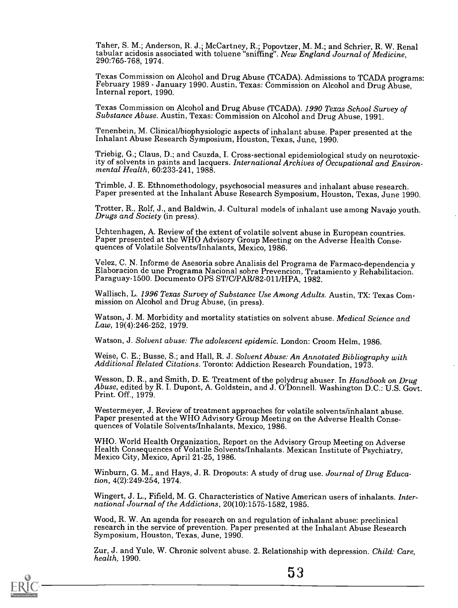Taher, S. M.; Anderson, R. J.; McCartney, R.; Popovtzer, M. M.; and Schrier, R. W. Renal tabular acidosis associated with toluene "sniffing". New England Journal of Medicine, 290:765-768, 1974.

Texas Commission on Alcohol and Drug Abuse (TCADA). Admissions to TCADA programs: February 1989 - January 1990. Austin, Texas: Commission on Alcohol and Drug Abuse, Internal report, 1990.

Texas Commission on Alcohol and Drug Abuse (TCADA). 1990 Texas School Survey of Substance Abuse. Austin, Texas: Commission on Alcohol and Drug Abuse, 1991.

Tenenbein, M. Clinical/biophysiologic aspects of inhalant abuse. Paper presented at the Inhalant Abuse Research Symposium, Houston, Texas, June, 1990.

Triebig, G.; Claus, D.; and Csuzda, I. Cross-sectional epidemiological study on neurotoxicity of solvents in paints and lacquers. International Archives of Occupational and Environ-<br>mental Health, 60:233-241, 1988.

Trimble, J. E. Ethnomethodology, psychosocial measures and inhalant abuse research. Paper presented at the Inhalant Abuse Research Symposium, Houston, Texas, June 1990.

Trotter, R., Rolf, J., and Baldwin, J. Cultural models of inhalant use among Navajo youth. Drugs and Society (in press).

Uchtenhagen, A. Review of the extent of volatile solvent abuse in European countries. Paper presented at the WHO Advisory Group Meeting on the Adverse Health Conse- quences of Volatile Solvents/Inhalants, Mexico, 1986.

Velez, C. N. Informe de Asesoria sobre Analisis del Programa de Farmaco-dependencia y<br>Elaboracion de une Programa Nacional sobre Prevencion, Tratamiento y Rehabilitacion.<br>Paraguay-1500. Documento OPS ST/C/PAR/82-011/HPA, 1

Wallisch, L. 1996 Texas Survey of Substance Use Among Adults. Austin, TX: Texas Commission on Alcohol and Drug Abuse, (in press).

Watson, J. M. Morbidity and mortality statistics on solvent abuse. *Medical Science and*<br>*Law*, 19(4):246-252, 1979.

Watson, J. Solvent abuse: The adolescent epidemic. London: Croom Helm, 1986.

Weise, C. E.; Busse, S.; and Hall, R. J. Solvent Abuse: An Annotated Bibliography with Additional Related Citations. Toronto: Addiction Research Foundation, 1973.

Wesson, D. R., and Smith, D. E. Treatment of the polydrug abuser. In *Handbook on Drug*<br>*Abuse*, edited by R. I. Dupont, A. Goldstein, and J. O'Donnell. Washington D.C.: U.S. Govt.<br>Print. Off., 1979.

Westermeyer, J. Review of treatment approaches for volatile solvents/inhalant abuse. Paper presented at the WHO Advisory Group Meeting on the Adverse Health Conse- quences of Volatile Solvents/Inhalants, Mexico, 1986.

WHO. World Health Organization, Report on the Advisory Group Meeting on Adverse Health Consequences of Volatile Solvents/Inhalants. Mexican Institute of Psychiatry, Mexico City, Mexico, April 21-25, 1986.

Winburn, G. M., and Hays, J. R. Dropouts: A study of drug use. Journal of Drug Education, 4(2):249-254, 1974.

Wingert, J. L., Fifield, M. G. Characteristics of Native American users of inhalants. Inter-<br>national Journal of the Addictions, 20(10):1575-1582, 1985.

Wood, R. W. An agenda for research on and regulation of inhalant abuse: preclinical research in the service of prevention. Paper presented at the Inhalant Abuse Research Symposium, Houston, Texas, June, 1990.

Zur, J. and Yule, W. Chronic solvent abuse. 2. Relationship with depression. Child: Care, health, 1990.



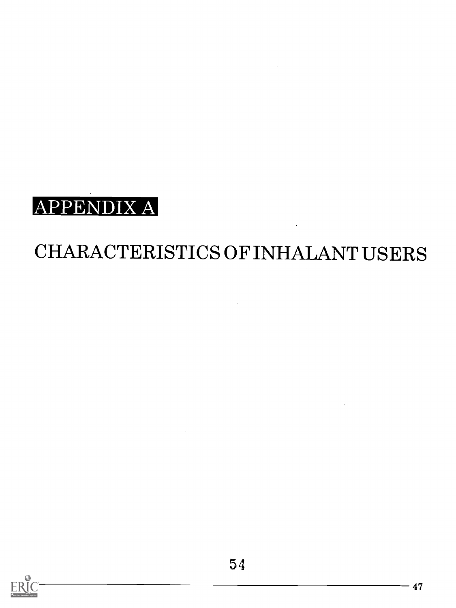

## CHARACTERISTICS OF INHALANT USERS

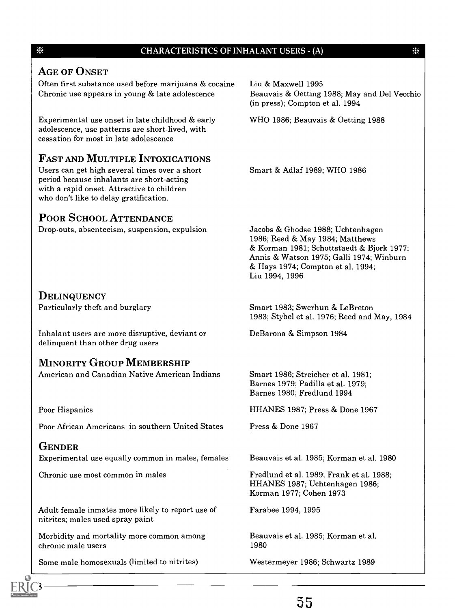#### CHARACTERISTICS OF INHALANT USERS - (A)

崇

#### **AGE OF ONSET**

Often first substance used before marijuana & cocaine Chronic use appears in young & late adolescence

Experimental use onset in late childhood & early adolescence, use patterns are short-lived, with cessation for most in late adolescence

#### FAST AND MULTIPLE INTOXICATIONS

Users can get high several times over a short period because inhalants are short-acting with a rapid onset. Attractive to children who don't like to delay gratification.

#### POOR SCHOOL ATTENDANCE

Drop-outs, absenteeism, suspension, expulsion

Liu & Maxwell 1995 Beauvais & Oetting 1988; May and Del Vecchio (in press); Compton et al. 1994

WHO 1986; Beauvais & Oetting 1988

Smart & Adlaf 1989; WHO 1986

Jacobs & Ghodse 1988; Uchtenhagen 1986; Reed & May 1984; Matthews & Korman 1981; Schottstaedt & Bjork 1977; Annis & Watson 1975; Galli 1974; Winburn & Hays 1974; Compton et al. 1994; Liu 1994, 1996

1983; Stybel et al. 1976; Reed and May, 1984

**DELINQUENCY** Particularly theft and burglary

Inhalant users are more disruptive, deviant or delinquent than other drug users

#### MINORITY GROUP MEMBERSHIP

American and Canadian Native American Indians

Poor Hispanics

Poor African Americans in southern United States

#### **GENDER**

Experimental use equally common in males, females

Chronic use most common in males

Adult female inmates more likely to report use of nitrites; males used spray paint

Morbidity and mortality more common among chronic male users

Some male homosexuals (limited to nitrites)

Smart 1986; Streicher et al. 1981;

Smart 1983; Swerhun & Le Breton

DeBarona & Simpson 1984

Barnes 1979; Padilla et al. 1979; Barnes 1980; Fredlund 1994

HHANES 1987; Press & Done 1967

Press & Done 1967

Beauvais et al. 1985; Korman et al. 1980

Fredlund et al. 1989; Frank et al. 1988; HHANES 1987; Uchtenhagen 1986; Korman 1977; Cohen 1973

Farabee 1994, 1995

Beauvais et al. 1985; Korman et al. 1980

Westermeyer 1986; Schwartz 1989





聚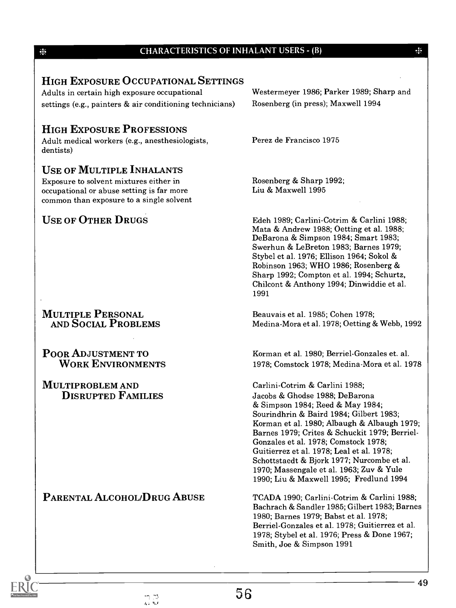#### CHARACTERISTICS OF INHALANT USERS - (B)

#### HIGH EXPOSURE OCCUPATIONAL SETTINGS

Adults in certain high exposure occupational settings (e.g., painters & air conditioning technicians)

#### HIGH EXPOSURE PROFESSIONS

Adult medical workers (e.g., anesthesiologists, dentists)

#### USE OF MULTIPLE INHALANTS

Exposure to solvent mixtures either in occupational or abuse setting is far more common than exposure to a single solvent

#### USE OF OTHER DRUGS

MULTIPLE PERSONAL AND SOCIAL PROBLEMS

POOR ADJUSTMENT TO WORK ENVIRONMENTS

MULTIPROBLEM AND DISRUPTED FAMILIES

PARENTAL ALCOHOL/DRUG ABUSE

Westermeyer 1986; Parker 1989; Sharp and Rosenberg (in press); Maxwell 1994

张

Perez de Francisco 1975

Rosenberg & Sharp 1992; Liu & Maxwell 1995

Edeh 1989; Carlini-Cotrim & Carlini 1988; Mata & Andrew 1988; Oetting et al. 1988; DeBarona & Simpson 1984; Smart 1983; Swerhun & Le Breton 1983; Barnes 1979; Stybel et al. 1976; Ellison 1964; Sokol & Robinson 1963; WHO 1986; Rosenberg & Sharp 1992; Compton et al. 1994; Schurtz, Chilcont & Anthony 1994; Dinwiddie et al. 1991

Beauvais et al. 1985; Cohen 1978; Medina-Mora et al. 1978; Oetting & Webb, 1992

Korman et al. 1980; Berriel-Gonzales et. al. 1978; Comstock 1978; Medina-Mora et al. 1978

Carlini-Cotrim & Carlini 1988; Jacobs & Ghodse 1988; DeBarona & Simpson 1984; Reed & May 1984; Sourindhrin & Baird 1984; Gilbert 1983; Korman et al. 1980; Albaugh & Albaugh 1979; Barnes 1979; Crites & Schuckit 1979; Berriel-Gonzales et al. 1978; Comstock 1978; Guitierrez et al. 1978; Leal et al. 1978; Schottstaedt & Bjork 1977; Nurcombe et al. 1970; Massengale et al. 1963; Zuv & Yule 1990; Liu & Maxwell 1995; Fredlund 1994

TCADA 1990; Carlini-Cotrim & Carlini 1988; Bachrach & Sandler 1985; Gilbert 1983; Barnes 1980; Barnes 1979; Babst et al. 1978; Berriel-Gonzales et al. 1978; Guitierrez et al. 1978; Stybel et al. 1976; Press & Done 1967; Smith, Joe & Simpson 1991

崇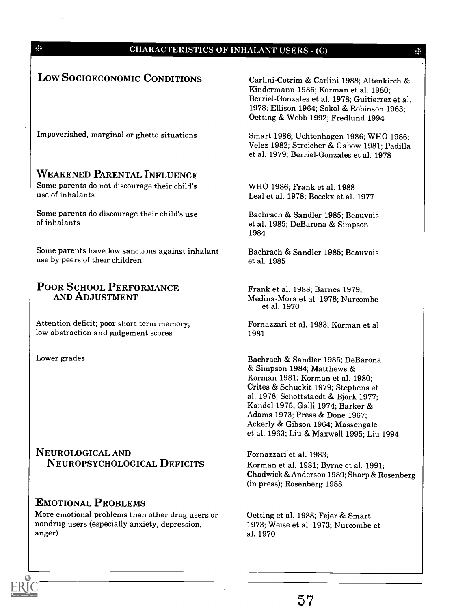| LOW SOCIOECONOMIC CONDITIONS                                                                       | Carlini-Cotrim & Carlini 1988; Altenkirch &<br>Kindermann 1986; Korman et al. 1980;<br>Berriel-Gonzales et al. 1978; Guitierrez et al.<br>1978; Ellison 1964; Sokol & Robinson 1963;<br>Oetting & Webb 1992; Fredlund 1994                                                                                                                  |
|----------------------------------------------------------------------------------------------------|---------------------------------------------------------------------------------------------------------------------------------------------------------------------------------------------------------------------------------------------------------------------------------------------------------------------------------------------|
| Impoverished, marginal or ghetto situations                                                        | Smart 1986; Uchtenhagen 1986; WHO 1986;<br>Velez 1982; Streicher & Gabow 1981; Padilla<br>et al. 1979; Berriel-Gonzales et al. 1978                                                                                                                                                                                                         |
| <b>WEAKENED PARENTAL INFLUENCE</b>                                                                 |                                                                                                                                                                                                                                                                                                                                             |
| Some parents do not discourage their child's<br>use of inhalants                                   | WHO 1986; Frank et al. 1988<br>Leal et al. 1978; Boeckx et al. 1977                                                                                                                                                                                                                                                                         |
| Some parents do discourage their child's use<br>of inhalants                                       | Bachrach & Sandler 1985; Beauvais<br>et al. 1985; DeBarona & Simpson<br>1984                                                                                                                                                                                                                                                                |
| Some parents have low sanctions against inhalant<br>use by peers of their children                 | Bachrach & Sandler 1985; Beauvais<br>et al. 1985                                                                                                                                                                                                                                                                                            |
| POOR SCHOOL PERFORMANCE<br>AND ADJUSTMENT                                                          | Frank et al. 1988; Barnes 1979;<br>Medina-Mora et al. 1978; Nurcombe<br>et al. 1970                                                                                                                                                                                                                                                         |
| Attention deficit; poor short term memory;<br>low abstraction and judgement scores                 | Fornazzari et al. 1983; Korman et al.<br>1981                                                                                                                                                                                                                                                                                               |
| Lower grades                                                                                       | Bachrach & Sandler 1985; DeBarona<br>& Simpson 1984; Matthews &<br>Korman 1981; Korman et al. 1980;<br>Crites & Schuckit 1979; Stephens et<br>al. 1978; Schottstaedt & Bjork 1977;<br>Kandel 1975; Galli 1974; Barker &<br>Adams 1973; Press & Done 1967;<br>Ackerly & Gibson 1964; Massengale<br>et al. 1963; Liu & Maxwell 1995; Liu 1994 |
| NEUROLOGICAL AND                                                                                   | Fornazzari et al. 1983;                                                                                                                                                                                                                                                                                                                     |
| NEUROPSYCHOLOGICAL DEFICITS                                                                        | Korman et al. 1981; Byrne et al. 1991;<br>Chadwick & Anderson 1989; Sharp & Rosenberg<br>(in press); Rosenberg 1988                                                                                                                                                                                                                         |
| <b>EMOTIONAL PROBLEMS</b>                                                                          |                                                                                                                                                                                                                                                                                                                                             |
| More emotional problems than other drug users or<br>nondrug users (especially anxiety, depression, | Oetting et al. 1988; Fejer & Smart<br>1973; Weise et al. 1973; Nurcombe et                                                                                                                                                                                                                                                                  |

anger)

 $\frac{1}{2}$ 

 $\overline{10}$ 

 $\frac{1}{2}$ 

aL 1970

 $\epsilon_{\rm{eff}}$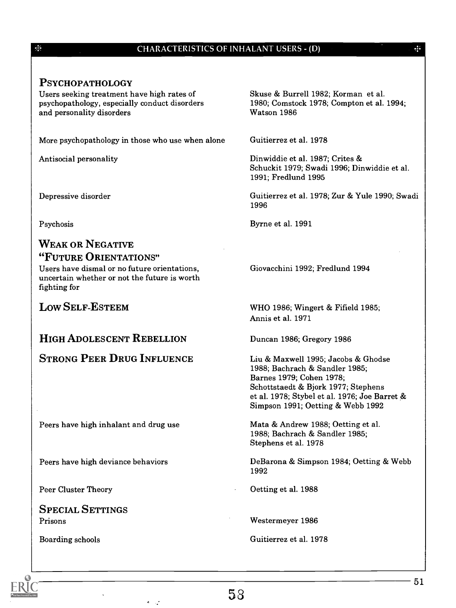#### CHARACTERISTICS OF INHALANT USERS - (D)

#### PSYCHOPATHOLOGY

影

Users seeking treatment have high rates of psychopathology, especially conduct disorders and personality disorders

More psychopathology in those who use when alone

Antisocial personality

Depressive disorder

Psychosis

#### WEAK OR NEGATIVE "FUTURE ORIENTATIONS"

Users have dismal or no future orientations, uncertain whether or not the future is worth fighting for

LOW SELF-ESTEEM

#### HIGH ADOLESCENT REBELLION

#### STRONG PEER DRUG INFLUENCE

Peers have high inhalant and drug use

Peers have high deviance behaviors

Peer Cluster Theory

SPECIAL SETTINGS Prisons

Boarding schools

Skuse & Burrell 1982; Korman et al. 1980; Comstock 1978; Compton et al. 1994; Watson 1986

 $\frac{1}{2}$ 

Guitierrez et al. 1978

Dinwiddie et al. 1987; Crites & Schuckit 1979; Swadi 1996; Dinwiddie et al. 1991; Fredlund 1995

Guitierrez et al. 1978; Zur & Yule 1990; Swadi 1996

Byrne et al. 1991

Giovacchini 1992; Fredlund 1994

WHO 1986; Wingert & Fifield 1985; Annis et al. 1971

Duncan 1986; Gregory 1986

Liu & Maxwell 1995; Jacobs & Ghodse 1988; Bachrach & Sandler 1985; Barnes 1979; Cohen 1978; Schottstaedt & Bjork 1977; Stephens et al. 1978; Stybel et al. 1976; Joe Barret & Simpson 1991; Oetting & Webb 1992

Mata & Andrew 1988; Oetting et al. 1988; Bachrach & Sandler 1985; Stephens et al. 1978

DeBarona & Simpson 1984; Oetting & Webb 1992

Oetting et al. 1988

Westermeyer 1986

Guitierrez et al. 1978

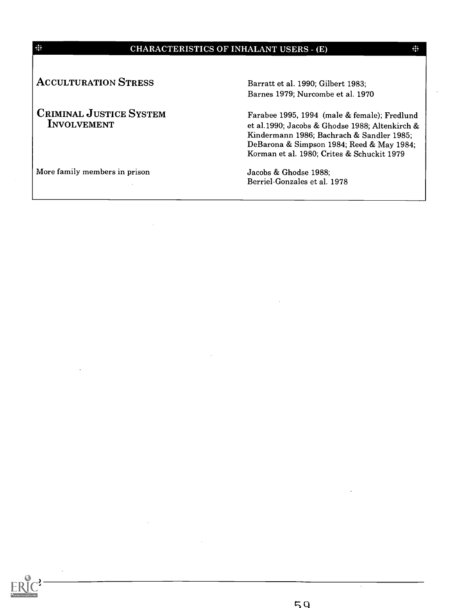#### CHARACTERISTICS OF INHALANT USERS - (E)

**ACCULTURATION STRESS** 

聚

CRIMINAL JUSTICE SYSTEM INVOLVEMENT

Barratt et al. 1990; Gilbert 1983; Barnes 1979; Nurcombe et al. 1970

Farabee 1995, 1994 (male & female); Fredlund et al.1990; Jacobs & Ghodse 1988; Altenkirch & Kindermann 1986; Bachrach & Sandler 1985; DeBarona & Simpson 1984; Reed & May 1984; Korman et al. 1980; Crites & Schuckit 1979

More family members in prison Jacobs & Ghodse 1988;

Berriel-Gonzales et al. 1978



 $\frac{3}{2}$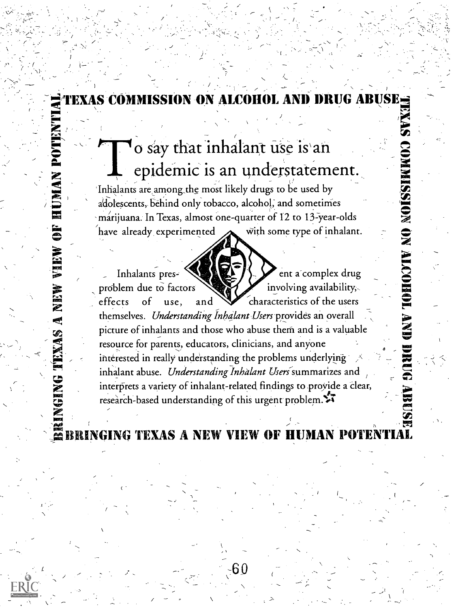#### <sup>-</sup> diexas commission on alcohol and drug abuse<sub>ti</sub> - <sup>2</sup>1 .

### $\sum_{i=1}^{n}$   $\sum_{i=1}^{n}$  o say that inhalant use is an  $\sum_{i=1}^{n}$  $\sum_{n=1}^{\infty}$  out on  $\sum_{n=1}^{\infty}$  $\sum_{k=1}^{\infty}$  epidemic is an understatement. ...1 , 'Inhalants are,among\_the most likely drugs to be used by ,CI:

 $\sqrt{2\pi}$ 

 $\sqrt{2}$  adolescents, behind only tobacco, alcohol; and sometimes  $\blacksquare$  marijuana. In Texas, almost one-quarter of 12 to 13-year-olds  $\gtrsim$ have already experimented  $\sum$  with some type of inhalant.

> Inhalants pres-  $\sum_{k=1}^{\infty}$   $\sum_{k=1}^{\infty}$  ent a complex drug problem due to factors  $\sum$  involving availability, effects of use, and  $\mathcal{L}$  characteristics of the users themselves. Understanding Inhalant Users provides an overall picture of inhalants and those who abuse them and is a valuable  $\Box$ resource for parents, educators, clinicians, and anyone interested in really understanding the problems underlying , oo inhalant abuse. Understanding-Inhalant Useri / summarizes and ..\_..., ... interprets a variety of inhalant-related findings to proyide a Clear, research-based understanding of this urgent problem. $\sqrt[2]{\cdot}$

4.4 - 014 ANDRON AND MORE

**onue** 

**ANGEL** 

31NG TEXAS A NEW VIEW OF HUMA

N

ric